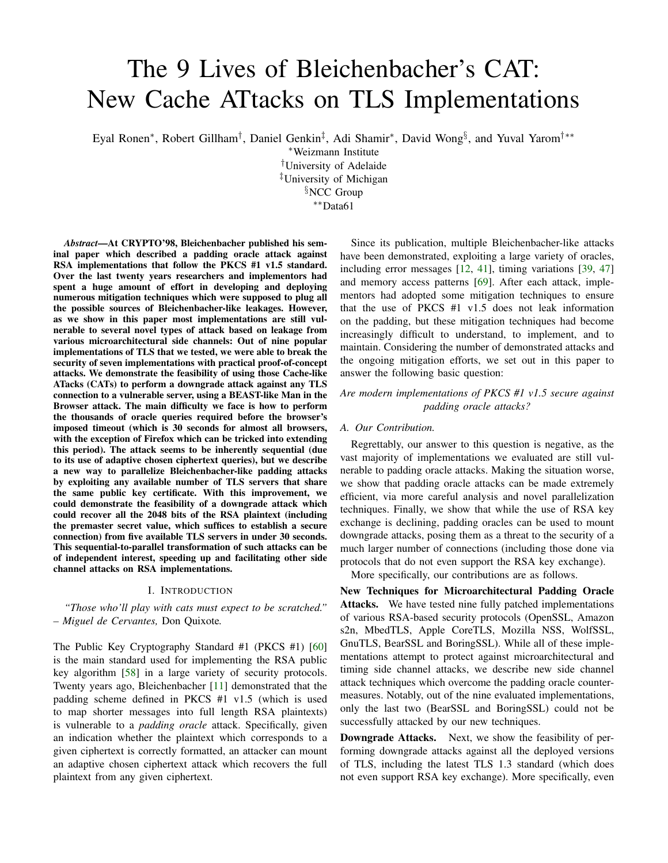# The 9 Lives of Bleichenbacher's CAT: New Cache ATtacks on TLS Implementations

Eyal Ronen\*, Robert Gillham<sup>†</sup>, Daniel Genkin<sup>‡</sup>, Adi Shamir\*, David Wong§, and Yuval Yarom<sup>†</sup>\*\*

<sup>∗</sup>Weizmann Institute †University of Adelaide ‡University of Michigan <sup>§</sup>NCC Group ∗∗Data61

*Abstract*—At CRYPTO'98, Bleichenbacher published his seminal paper which described a padding oracle attack against RSA implementations that follow the PKCS #1 v1.5 standard. Over the last twenty years researchers and implementors had spent a huge amount of effort in developing and deploying numerous mitigation techniques which were supposed to plug all the possible sources of Bleichenbacher-like leakages. However, as we show in this paper most implementations are still vulnerable to several novel types of attack based on leakage from various microarchitectural side channels: Out of nine popular implementations of TLS that we tested, we were able to break the security of seven implementations with practical proof-of-concept attacks. We demonstrate the feasibility of using those Cache-like ATacks (CATs) to perform a downgrade attack against any TLS connection to a vulnerable server, using a BEAST-like Man in the Browser attack. The main difficulty we face is how to perform the thousands of oracle queries required before the browser's imposed timeout (which is 30 seconds for almost all browsers, with the exception of Firefox which can be tricked into extending this period). The attack seems to be inherently sequential (due to its use of adaptive chosen ciphertext queries), but we describe a new way to parallelize Bleichenbacher-like padding attacks by exploiting any available number of TLS servers that share the same public key certificate. With this improvement, we could demonstrate the feasibility of a downgrade attack which could recover all the 2048 bits of the RSA plaintext (including the premaster secret value, which suffices to establish a secure connection) from five available TLS servers in under 30 seconds. This sequential-to-parallel transformation of such attacks can be of independent interest, speeding up and facilitating other side channel attacks on RSA implementations.

# I. INTRODUCTION

*"Those who'll play with cats must expect to be scratched." – Miguel de Cervantes,* Don Quixote*.*

The Public Key Cryptography Standard #1 (PKCS #1) [\[60\]](#page-14-0) is the main standard used for implementing the RSA public key algorithm [\[58\]](#page-14-1) in a large variety of security protocols. Twenty years ago, Bleichenbacher [\[11\]](#page-13-0) demonstrated that the padding scheme defined in PKCS #1 v1.5 (which is used to map shorter messages into full length RSA plaintexts) is vulnerable to a *padding oracle* attack. Specifically, given an indication whether the plaintext which corresponds to a given ciphertext is correctly formatted, an attacker can mount an adaptive chosen ciphertext attack which recovers the full plaintext from any given ciphertext.

Since its publication, multiple Bleichenbacher-like attacks have been demonstrated, exploiting a large variety of oracles, including error messages [\[12,](#page-13-1) [41\]](#page-13-2), timing variations [\[39,](#page-13-3) [47\]](#page-14-2) and memory access patterns [\[69\]](#page-14-3). After each attack, implementors had adopted some mitigation techniques to ensure that the use of PKCS #1 v1.5 does not leak information on the padding, but these mitigation techniques had become increasingly difficult to understand, to implement, and to maintain. Considering the number of demonstrated attacks and the ongoing mitigation efforts, we set out in this paper to answer the following basic question:

# *Are modern implementations of PKCS #1 v1.5 secure against padding oracle attacks?*

#### *A. Our Contribution.*

Regrettably, our answer to this question is negative, as the vast majority of implementations we evaluated are still vulnerable to padding oracle attacks. Making the situation worse, we show that padding oracle attacks can be made extremely efficient, via more careful analysis and novel parallelization techniques. Finally, we show that while the use of RSA key exchange is declining, padding oracles can be used to mount downgrade attacks, posing them as a threat to the security of a much larger number of connections (including those done via protocols that do not even support the RSA key exchange).

More specifically, our contributions are as follows.

New Techniques for Microarchitectural Padding Oracle Attacks. We have tested nine fully patched implementations of various RSA-based security protocols (OpenSSL, Amazon s2n, MbedTLS, Apple CoreTLS, Mozilla NSS, WolfSSL, GnuTLS, BearSSL and BoringSSL). While all of these implementations attempt to protect against microarchitectural and timing side channel attacks, we describe new side channel attack techniques which overcome the padding oracle countermeasures. Notably, out of the nine evaluated implementations, only the last two (BearSSL and BoringSSL) could not be successfully attacked by our new techniques.

Downgrade Attacks. Next, we show the feasibility of performing downgrade attacks against all the deployed versions of TLS, including the latest TLS 1.3 standard (which does not even support RSA key exchange). More specifically, even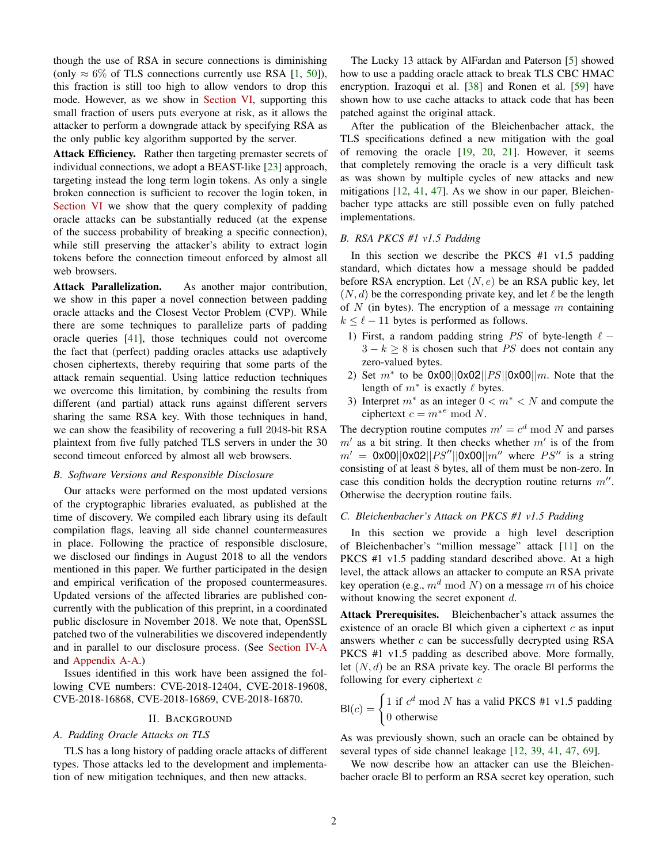though the use of RSA in secure connections is diminishing (only  $\approx 6\%$  of TLS connections currently use RSA [\[1,](#page-12-0) [50\]](#page-14-4)), this fraction is still too high to allow vendors to drop this mode. However, as we show in [Section VI,](#page-7-0) supporting this small fraction of users puts everyone at risk, as it allows the attacker to perform a downgrade attack by specifying RSA as the only public key algorithm supported by the server.

Attack Efficiency. Rather then targeting premaster secrets of individual connections, we adopt a BEAST-like [\[23\]](#page-13-4) approach, targeting instead the long term login tokens. As only a single broken connection is sufficient to recover the login token, in [Section VI](#page-7-0) we show that the query complexity of padding oracle attacks can be substantially reduced (at the expense of the success probability of breaking a specific connection), while still preserving the attacker's ability to extract login tokens before the connection timeout enforced by almost all web browsers.

Attack Parallelization. As another major contribution, we show in this paper a novel connection between padding oracle attacks and the Closest Vector Problem (CVP). While there are some techniques to parallelize parts of padding oracle queries [\[41\]](#page-13-2), those techniques could not overcome the fact that (perfect) padding oracles attacks use adaptively chosen ciphertexts, thereby requiring that some parts of the attack remain sequential. Using lattice reduction techniques we overcome this limitation, by combining the results from different (and partial) attack runs against different servers sharing the same RSA key. With those techniques in hand, we can show the feasibility of recovering a full 2048-bit RSA plaintext from five fully patched TLS servers in under the 30 second timeout enforced by almost all web browsers.

# *B. Software Versions and Responsible Disclosure*

Our attacks were performed on the most updated versions of the cryptographic libraries evaluated, as published at the time of discovery. We compiled each library using its default compilation flags, leaving all side channel countermeasures in place. Following the practice of responsible disclosure, we disclosed our findings in August 2018 to all the vendors mentioned in this paper. We further participated in the design and empirical verification of the proposed countermeasures. Updated versions of the affected libraries are published concurrently with the publication of this preprint, in a coordinated public disclosure in November 2018. We note that, OpenSSL patched two of the vulnerabilities we discovered independently and in parallel to our disclosure process. (See [Section IV-A](#page-4-0) and [Appendix A-A.](#page-14-5))

Issues identified in this work have been assigned the following CVE numbers: CVE-2018-12404, CVE-2018-19608, CVE-2018-16868, CVE-2018-16869, CVE-2018-16870.

# II. BACKGROUND

# *A. Padding Oracle Attacks on TLS*

TLS has a long history of padding oracle attacks of different types. Those attacks led to the development and implementation of new mitigation techniques, and then new attacks.

The Lucky 13 attack by AlFardan and Paterson [\[5\]](#page-12-1) showed how to use a padding oracle attack to break TLS CBC HMAC encryption. Irazoqui et al. [\[38\]](#page-13-5) and Ronen et al. [\[59\]](#page-14-6) have shown how to use cache attacks to attack code that has been patched against the original attack.

After the publication of the Bleichenbacher attack, the TLS specifications defined a new mitigation with the goal of removing the oracle [\[19,](#page-13-6) [20,](#page-13-7) [21\]](#page-13-8). However, it seems that completely removing the oracle is a very difficult task as was shown by multiple cycles of new attacks and new mitigations [\[12,](#page-13-1) [41,](#page-13-2) [47\]](#page-14-2). As we show in our paper, Bleichenbacher type attacks are still possible even on fully patched implementations.

# <span id="page-1-1"></span>*B. RSA PKCS #1 v1.5 Padding*

In this section we describe the PKCS #1 v1.5 padding standard, which dictates how a message should be padded before RSA encryption. Let  $(N, e)$  be an RSA public key, let  $(N, d)$  be the corresponding private key, and let  $\ell$  be the length of N (in bytes). The encryption of a message  $m$  containing  $k \leq \ell - 11$  bytes is performed as follows.

- 1) First, a random padding string PS of byte-length  $\ell$  −  $3 - k > 8$  is chosen such that PS does not contain any zero-valued bytes.
- 2) Set  $m^*$  to be  $0 \times 00||0 \times 02||PS||0 \times 00||m$ . Note that the length of  $m^*$  is exactly  $\ell$  bytes.
- 3) Interpret  $m^*$  as an integer  $0 < m^* < N$  and compute the ciphertext  $c = m^{*e} \mod N$ .

The decryption routine computes  $m' = c^d \bmod N$  and parses  $m'$  as a bit string. It then checks whether  $m'$  is of the from  $m' = 0x00||0x02||PS''||0x00||m''$  where PS'' is a string consisting of at least 8 bytes, all of them must be non-zero. In case this condition holds the decryption routine returns  $m''$ . Otherwise the decryption routine fails.

# <span id="page-1-0"></span>*C. Bleichenbacher's Attack on PKCS #1 v1.5 Padding*

In this section we provide a high level description of Bleichenbacher's "million message" attack [\[11\]](#page-13-0) on the PKCS #1 v1.5 padding standard described above. At a high level, the attack allows an attacker to compute an RSA private key operation (e.g.,  $m^d \mod N$ ) on a message m of his choice without knowing the secret exponent d.

Attack Prerequisites. Bleichenbacher's attack assumes the existence of an oracle Bl which given a ciphertext  $c$  as input answers whether  $c$  can be successfully decrypted using RSA PKCS #1 v1.5 padding as described above. More formally, let  $(N, d)$  be an RSA private key. The oracle Bl performs the following for every ciphertext  $c$ 

$$
Bl(c) = \begin{cases} 1 \text{ if } c^d \bmod N \text{ has a valid PKCS #1 v1.5 padding} \\ 0 \text{ otherwise} \end{cases}
$$

As was previously shown, such an oracle can be obtained by several types of side channel leakage [\[12,](#page-13-1) [39,](#page-13-3) [41,](#page-13-2) [47,](#page-14-2) [69\]](#page-14-3).

We now describe how an attacker can use the Bleichenbacher oracle Bl to perform an RSA secret key operation, such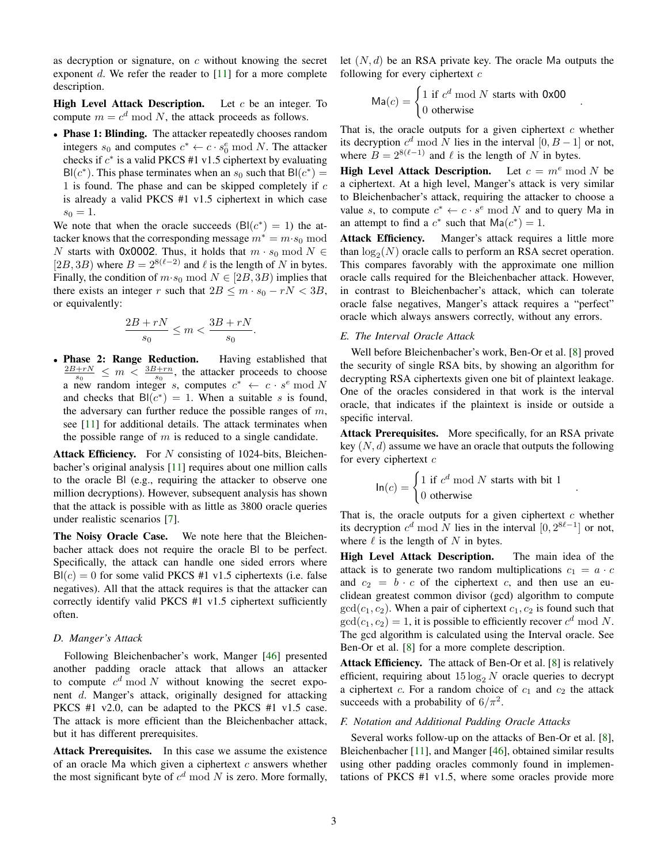as decryption or signature, on  $c$  without knowing the secret exponent  $d$ . We refer the reader to  $[11]$  for a more complete description.

**High Level Attack Description.** Let c be an integer. To compute  $m = c^d \mod N$ , the attack proceeds as follows.

• Phase 1: Blinding. The attacker repeatedly chooses random integers  $s_0$  and computes  $c^* \leftarrow c \cdot s_0^e \mod N$ . The attacker checks if  $c^*$  is a valid PKCS #1 v1.5 ciphertext by evaluating  $B(c^*)$ . This phase terminates when an  $s_0$  such that  $B(c^*) =$ 1 is found. The phase and can be skipped completely if  $c$ is already a valid PKCS #1 v1.5 ciphertext in which case  $s_0 = 1.$ 

We note that when the oracle succeeds  $(B|(c^*) = 1)$  the attacker knows that the corresponding message  $m^* = m \cdot s_0 \mod 1$ N starts with 0x0002. Thus, it holds that  $m ⋅ s_0 \mod N$  ∈ [2B, 3B) where  $B = 2^{8(\ell-2)}$  and  $\ell$  is the length of N in bytes. Finally, the condition of  $m \cdot s_0 \mod N \in [2B, 3B)$  implies that there exists an integer r such that  $2B \le m \cdot s_0 - rN < 3B$ , or equivalently:

$$
\frac{2B+rN}{s_0}\leq m<\frac{3B+rN}{s_0}.
$$

Phase 2: Range Reduction. Having established that  $\frac{2B+rN}{s_0} \leq m < \frac{3B+rn}{s_0}$ , the attacker proceeds to choose a new random integer s, computes  $c^* \leftarrow c \cdot s^e \mod N$ and checks that  $B(c^*) = 1$ . When a suitable s is found, the adversary can further reduce the possible ranges of  $m$ , see [\[11\]](#page-13-0) for additional details. The attack terminates when the possible range of  $m$  is reduced to a single candidate.

Attack Efficiency. For  $N$  consisting of 1024-bits, Bleichenbacher's original analysis [\[11\]](#page-13-0) requires about one million calls to the oracle Bl (e.g., requiring the attacker to observe one million decryptions). However, subsequent analysis has shown that the attack is possible with as little as 3800 oracle queries under realistic scenarios [\[7\]](#page-13-9).

The Noisy Oracle Case. We note here that the Bleichenbacher attack does not require the oracle Bl to be perfect. Specifically, the attack can handle one sided errors where  $B(c) = 0$  for some valid PKCS #1 v1.5 ciphertexts (i.e. false negatives). All that the attack requires is that the attacker can correctly identify valid PKCS #1 v1.5 ciphertext sufficiently often.

#### <span id="page-2-0"></span>*D. Manger's Attack*

Following Bleichenbacher's work, Manger [\[46\]](#page-13-10) presented another padding oracle attack that allows an attacker to compute  $c^d \bmod N$  without knowing the secret exponent d. Manger's attack, originally designed for attacking PKCS #1 v2.0, can be adapted to the PKCS #1 v1.5 case. The attack is more efficient than the Bleichenbacher attack, but it has different prerequisites.

Attack Prerequisites. In this case we assume the existence of an oracle Ma which given a ciphertext  $c$  answers whether the most significant byte of  $c^d \bmod N$  is zero. More formally, let  $(N, d)$  be an RSA private key. The oracle Ma outputs the following for every ciphertext  $c$ 

.

.

$$
Ma(c) = \begin{cases} 1 \text{ if } c^d \bmod N \text{ starts with } 0 \times 00 \\ 0 \text{ otherwise} \end{cases}
$$

That is, the oracle outputs for a given ciphertext  $c$  whether its decryption  $c^d$  mod N lies in the interval  $[0, B-1]$  or not, where  $B = 2^{8(\ell-1)}$  and  $\ell$  is the length of N in bytes.

**High Level Attack Description.** Let  $c = m^e \mod N$  be a ciphertext. At a high level, Manger's attack is very similar to Bleichenbacher's attack, requiring the attacker to choose a value s, to compute  $c^* \leftarrow c \cdot s^e \mod N$  and to query Ma in an attempt to find a  $c^*$  such that  $\text{Ma}(c^*) = 1$ .

Attack Efficiency. Manger's attack requires a little more than  $\log_2(N)$  oracle calls to perform an RSA secret operation. This compares favorably with the approximate one million oracle calls required for the Bleichenbacher attack. However, in contrast to Bleichenbacher's attack, which can tolerate oracle false negatives, Manger's attack requires a "perfect" oracle which always answers correctly, without any errors.

# <span id="page-2-1"></span>*E. The Interval Oracle Attack*

Well before Bleichenbacher's work, Ben-Or et al. [\[8\]](#page-13-11) proved the security of single RSA bits, by showing an algorithm for decrypting RSA ciphertexts given one bit of plaintext leakage. One of the oracles considered in that work is the interval oracle, that indicates if the plaintext is inside or outside a specific interval.

Attack Prerequisites. More specifically, for an RSA private key  $(N, d)$  assume we have an oracle that outputs the following for every ciphertext  $c$ 

$$
\ln(c) = \begin{cases} 1 \text{ if } c^d \bmod N \text{ starts with bit 1} \\ 0 \text{ otherwise} \end{cases}
$$

That is, the oracle outputs for a given ciphertext  $c$  whether its decryption  $c^d \mod N$  lies in the interval  $[0, 2^{8\ell-1}]$  or not, where  $\ell$  is the length of N in bytes.

High Level Attack Description. The main idea of the attack is to generate two random multiplications  $c_1 = a \cdot c$ and  $c_2 = b \cdot c$  of the ciphertext c, and then use an euclidean greatest common divisor (gcd) algorithm to compute  $gcd(c_1, c_2)$ . When a pair of ciphertext  $c_1, c_2$  is found such that  $gcd(c_1, c_2) = 1$ , it is possible to efficiently recover  $c^d \bmod N$ . The gcd algorithm is calculated using the Interval oracle. See Ben-Or et al. [\[8\]](#page-13-11) for a more complete description.

Attack Efficiency. The attack of Ben-Or et al. [\[8\]](#page-13-11) is relatively efficient, requiring about  $15 \log_2 N$  oracle queries to decrypt a ciphertext c. For a random choice of  $c_1$  and  $c_2$  the attack succeeds with a probability of  $6/\pi^2$ .

#### *F. Notation and Additional Padding Oracle Attacks*

Several works follow-up on the attacks of Ben-Or et al. [\[8\]](#page-13-11), Bleichenbacher [\[11\]](#page-13-0), and Manger [\[46\]](#page-13-10), obtained similar results using other padding oracles commonly found in implementations of PKCS #1 v1.5, where some oracles provide more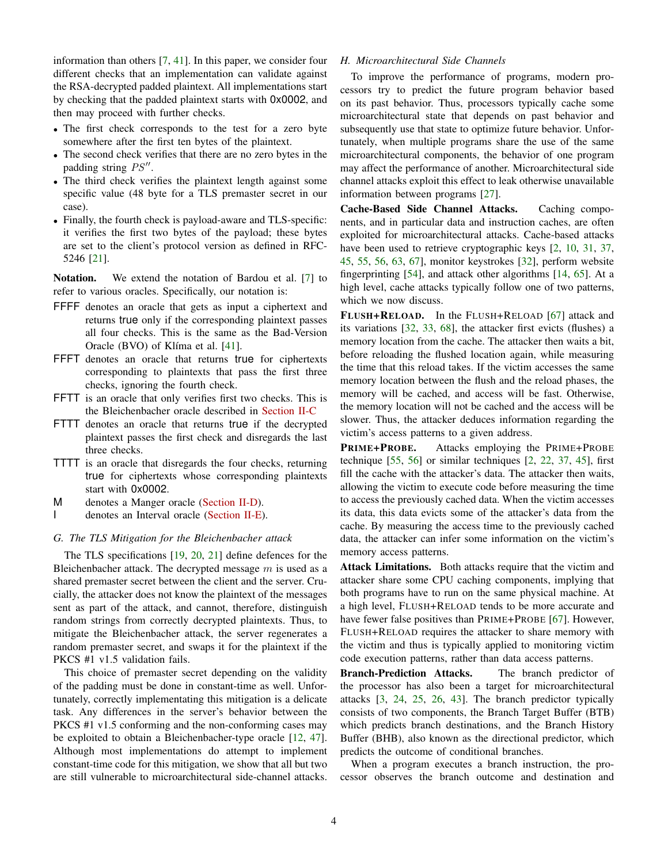information than others [\[7,](#page-13-9) [41\]](#page-13-2). In this paper, we consider four different checks that an implementation can validate against the RSA-decrypted padded plaintext. All implementations start by checking that the padded plaintext starts with 0x0002, and then may proceed with further checks.

- The first check corresponds to the test for a zero byte somewhere after the first ten bytes of the plaintext.
- The second check verifies that there are no zero bytes in the padding string  $PS''$ .
- The third check verifies the plaintext length against some specific value (48 byte for a TLS premaster secret in our case).
- Finally, the fourth check is payload-aware and TLS-specific: it verifies the first two bytes of the payload; these bytes are set to the client's protocol version as defined in RFC-5246 [\[21\]](#page-13-8).

Notation. We extend the notation of Bardou et al. [\[7\]](#page-13-9) to refer to various oracles. Specifically, our notation is:

- FFFF denotes an oracle that gets as input a ciphertext and returns true only if the corresponding plaintext passes all four checks. This is the same as the Bad-Version Oracle (BVO) of Klíma et al. [\[41\]](#page-13-2).
- FFFT denotes an oracle that returns true for ciphertexts corresponding to plaintexts that pass the first three checks, ignoring the fourth check.
- FFTT is an oracle that only verifies first two checks. This is the Bleichenbacher oracle described in [Section II-C](#page-1-0)
- FTTT denotes an oracle that returns true if the decrypted plaintext passes the first check and disregards the last three checks.
- TTTT is an oracle that disregards the four checks, returning true for ciphertexts whose corresponding plaintexts start with 0x0002.
- M denotes a Manger oracle [\(Section II-D\)](#page-2-0). I denotes an Interval oracle [\(Section II-E\)](#page-2-1).

# <span id="page-3-0"></span>*G. The TLS Mitigation for the Bleichenbacher attack*

The TLS specifications [\[19,](#page-13-6) [20,](#page-13-7) [21\]](#page-13-8) define defences for the Bleichenbacher attack. The decrypted message  $m$  is used as a shared premaster secret between the client and the server. Crucially, the attacker does not know the plaintext of the messages sent as part of the attack, and cannot, therefore, distinguish random strings from correctly decrypted plaintexts. Thus, to mitigate the Bleichenbacher attack, the server regenerates a random premaster secret, and swaps it for the plaintext if the PKCS #1 v1.5 validation fails.

This choice of premaster secret depending on the validity of the padding must be done in constant-time as well. Unfortunately, correctly implementating this mitigation is a delicate task. Any differences in the server's behavior between the PKCS #1 v1.5 conforming and the non-conforming cases may be exploited to obtain a Bleichenbacher-type oracle [\[12,](#page-13-1) [47\]](#page-14-2). Although most implementations do attempt to implement constant-time code for this mitigation, we show that all but two are still vulnerable to microarchitectural side-channel attacks.

# *H. Microarchitectural Side Channels*

To improve the performance of programs, modern processors try to predict the future program behavior based on its past behavior. Thus, processors typically cache some microarchitectural state that depends on past behavior and subsequently use that state to optimize future behavior. Unfortunately, when multiple programs share the use of the same microarchitectural components, the behavior of one program may affect the performance of another. Microarchitectural side channel attacks exploit this effect to leak otherwise unavailable information between programs [\[27\]](#page-13-12).

Cache-Based Side Channel Attacks. Caching components, and in particular data and instruction caches, are often exploited for microarchitectural attacks. Cache-based attacks have been used to retrieve cryptographic keys  $[2, 10, 31, 37, 10]$  $[2, 10, 31, 37, 10]$  $[2, 10, 31, 37, 10]$  $[2, 10, 31, 37, 10]$  $[2, 10, 31, 37, 10]$  $[2, 10, 31, 37, 10]$  $[2, 10, 31, 37, 10]$  $[2, 10, 31, 37, 10]$ [45,](#page-13-16) [55,](#page-14-7) [56,](#page-14-8) [63,](#page-14-9) [67\]](#page-14-10), monitor keystrokes [\[32\]](#page-13-17), perform website fingerprinting [\[54\]](#page-14-11), and attack other algorithms [\[14,](#page-13-18) [65\]](#page-14-12). At a high level, cache attacks typically follow one of two patterns, which we now discuss.

FLUSH+RELOAD. In the FLUSH+RELOAD [\[67\]](#page-14-10) attack and its variations [\[32,](#page-13-17) [33,](#page-13-19) [68\]](#page-14-13), the attacker first evicts (flushes) a memory location from the cache. The attacker then waits a bit, before reloading the flushed location again, while measuring the time that this reload takes. If the victim accesses the same memory location between the flush and the reload phases, the memory will be cached, and access will be fast. Otherwise, the memory location will not be cached and the access will be slower. Thus, the attacker deduces information regarding the victim's access patterns to a given address.

PRIME+PROBE. Attacks employing the PRIME+PROBE technique  $[55, 56]$  $[55, 56]$  $[55, 56]$  or similar techniques  $[2, 22, 37, 45]$  $[2, 22, 37, 45]$  $[2, 22, 37, 45]$  $[2, 22, 37, 45]$  $[2, 22, 37, 45]$  $[2, 22, 37, 45]$  $[2, 22, 37, 45]$ , first fill the cache with the attacker's data. The attacker then waits, allowing the victim to execute code before measuring the time to access the previously cached data. When the victim accesses its data, this data evicts some of the attacker's data from the cache. By measuring the access time to the previously cached data, the attacker can infer some information on the victim's memory access patterns.

Attack Limitations. Both attacks require that the victim and attacker share some CPU caching components, implying that both programs have to run on the same physical machine. At a high level, FLUSH+RELOAD tends to be more accurate and have fewer false positives than PRIME+PROBE [\[67\]](#page-14-10). However, FLUSH+RELOAD requires the attacker to share memory with the victim and thus is typically applied to monitoring victim code execution patterns, rather than data access patterns.

Branch-Prediction Attacks. The branch predictor of the processor has also been a target for microarchitectural attacks [\[3,](#page-12-3) [24,](#page-13-21) [25,](#page-13-22) [26,](#page-13-23) [43\]](#page-13-24). The branch predictor typically consists of two components, the Branch Target Buffer (BTB) which predicts branch destinations, and the Branch History Buffer (BHB), also known as the directional predictor, which predicts the outcome of conditional branches.

When a program executes a branch instruction, the processor observes the branch outcome and destination and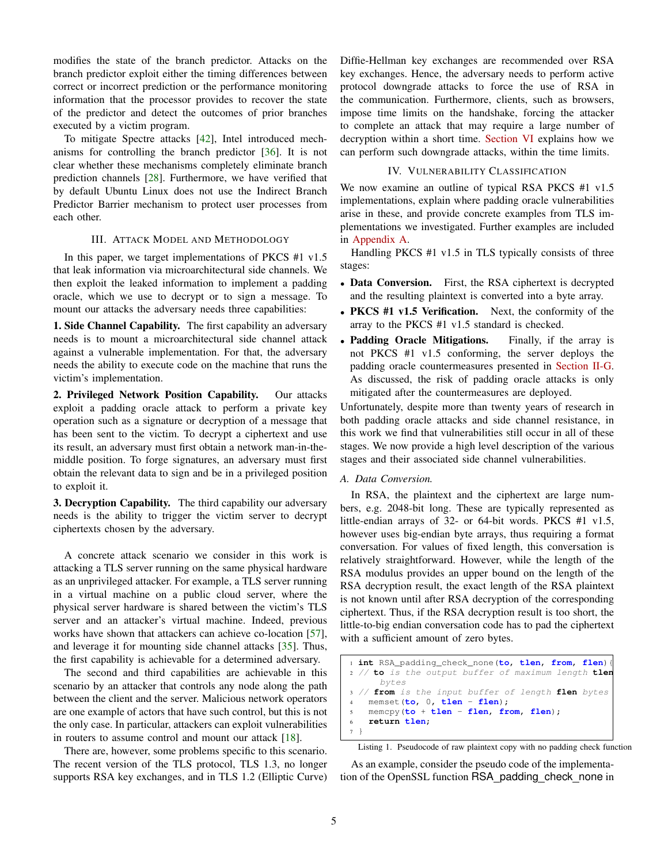modifies the state of the branch predictor. Attacks on the branch predictor exploit either the timing differences between correct or incorrect prediction or the performance monitoring information that the processor provides to recover the state of the predictor and detect the outcomes of prior branches executed by a victim program.

To mitigate Spectre attacks [\[42\]](#page-13-25), Intel introduced mechanisms for controlling the branch predictor [\[36\]](#page-13-26). It is not clear whether these mechanisms completely eliminate branch prediction channels [\[28\]](#page-13-27). Furthermore, we have verified that by default Ubuntu Linux does not use the Indirect Branch Predictor Barrier mechanism to protect user processes from each other.

# III. ATTACK MODEL AND METHODOLOGY

In this paper, we target implementations of PKCS #1 v1.5 that leak information via microarchitectural side channels. We then exploit the leaked information to implement a padding oracle, which we use to decrypt or to sign a message. To mount our attacks the adversary needs three capabilities:

1. Side Channel Capability. The first capability an adversary needs is to mount a microarchitectural side channel attack against a vulnerable implementation. For that, the adversary needs the ability to execute code on the machine that runs the victim's implementation.

2. Privileged Network Position Capability. Our attacks exploit a padding oracle attack to perform a private key operation such as a signature or decryption of a message that has been sent to the victim. To decrypt a ciphertext and use its result, an adversary must first obtain a network man-in-themiddle position. To forge signatures, an adversary must first obtain the relevant data to sign and be in a privileged position to exploit it.

3. Decryption Capability. The third capability our adversary needs is the ability to trigger the victim server to decrypt ciphertexts chosen by the adversary.

A concrete attack scenario we consider in this work is attacking a TLS server running on the same physical hardware as an unprivileged attacker. For example, a TLS server running in a virtual machine on a public cloud server, where the physical server hardware is shared between the victim's TLS server and an attacker's virtual machine. Indeed, previous works have shown that attackers can achieve co-location [\[57\]](#page-14-14), and leverage it for mounting side channel attacks [\[35\]](#page-13-28). Thus, the first capability is achievable for a determined adversary.

The second and third capabilities are achievable in this scenario by an attacker that controls any node along the path between the client and the server. Malicious network operators are one example of actors that have such control, but this is not the only case. In particular, attackers can exploit vulnerabilities in routers to assume control and mount our attack [\[18\]](#page-13-29).

There are, however, some problems specific to this scenario. The recent version of the TLS protocol, TLS 1.3, no longer supports RSA key exchanges, and in TLS 1.2 (Elliptic Curve) Diffie-Hellman key exchanges are recommended over RSA key exchanges. Hence, the adversary needs to perform active protocol downgrade attacks to force the use of RSA in the communication. Furthermore, clients, such as browsers, impose time limits on the handshake, forcing the attacker to complete an attack that may require a large number of decryption within a short time. [Section VI](#page-7-0) explains how we can perform such downgrade attacks, within the time limits.

#### IV. VULNERABILITY CLASSIFICATION

<span id="page-4-2"></span>We now examine an outline of typical RSA PKCS #1 v1.5 implementations, explain where padding oracle vulnerabilities arise in these, and provide concrete examples from TLS implementations we investigated. Further examples are included in [Appendix A.](#page-14-15)

Handling PKCS #1 v1.5 in TLS typically consists of three stages:

- Data Conversion. First, the RSA ciphertext is decrypted and the resulting plaintext is converted into a byte array.
- PKCS #1 v1.5 Verification. Next, the conformity of the array to the PKCS #1 v1.5 standard is checked.
- Padding Oracle Mitigations. Finally, if the array is not PKCS #1 v1.5 conforming, the server deploys the padding oracle countermeasures presented in [Section II-G.](#page-3-0) As discussed, the risk of padding oracle attacks is only mitigated after the countermeasures are deployed.

Unfortunately, despite more than twenty years of research in both padding oracle attacks and side channel resistance, in this work we find that vulnerabilities still occur in all of these stages. We now provide a high level description of the various stages and their associated side channel vulnerabilities.

# <span id="page-4-0"></span>*A. Data Conversion.*

In RSA, the plaintext and the ciphertext are large numbers, e.g. 2048-bit long. These are typically represented as little-endian arrays of 32- or 64-bit words. PKCS #1 v1.5, however uses big-endian byte arrays, thus requiring a format conversation. For values of fixed length, this conversation is relatively straightforward. However, while the length of the RSA modulus provides an upper bound on the length of the RSA decryption result, the exact length of the RSA plaintext is not known until after RSA decryption of the corresponding ciphertext. Thus, if the RSA decryption result is too short, the little-to-big endian conversation code has to pad the ciphertext with a sufficient amount of zero bytes.

```
1 int RSA_padding_check_none(to, tlen, from, flen){
2 // to is the output buffer of maximum length tlen
      bytes
3 // from is the input buffer of length flen bytes
4 memset(to, 0, tlen - flen);
5 memcpy(to + tlen - flen, from, flen);
    6 return tlen;
7 }
```
Listing 1. Pseudocode of raw plaintext copy with no padding check function

As an example, consider the pseudo code of the implementation of the OpenSSL function RSA padding check none in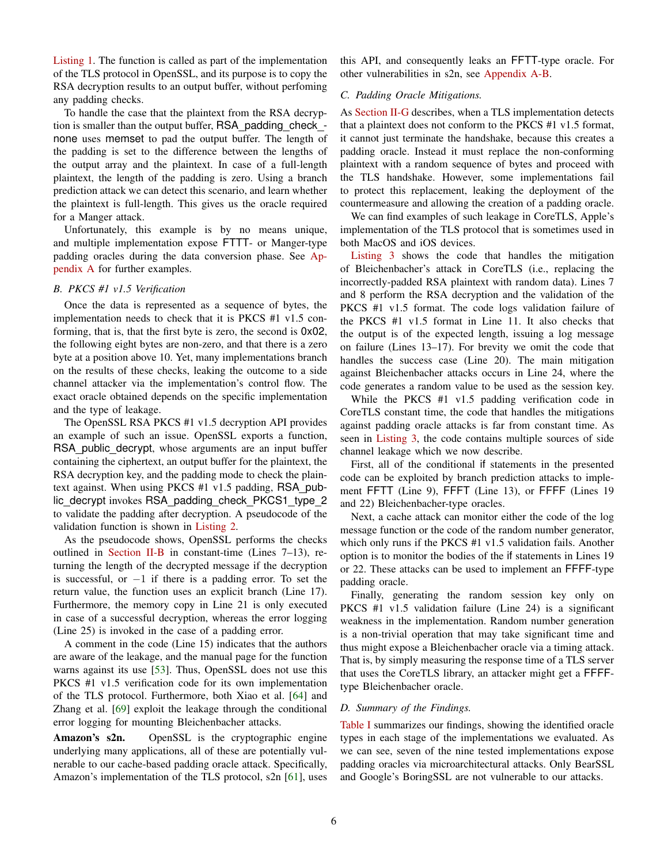[Listing 1.](#page-4-1) The function is called as part of the implementation of the TLS protocol in OpenSSL, and its purpose is to copy the RSA decryption results to an output buffer, without perfoming any padding checks.

To handle the case that the plaintext from the RSA decryption is smaller than the output buffer, RSA padding check none uses memset to pad the output buffer. The length of the padding is set to the difference between the lengths of the output array and the plaintext. In case of a full-length plaintext, the length of the padding is zero. Using a branch prediction attack we can detect this scenario, and learn whether the plaintext is full-length. This gives us the oracle required for a Manger attack.

Unfortunately, this example is by no means unique, and multiple implementation expose FTTT- or Manger-type padding oracles during the data conversion phase. See [Ap](#page-14-15)[pendix A](#page-14-15) for further examples.

# <span id="page-5-0"></span>*B. PKCS #1 v1.5 Verification*

Once the data is represented as a sequence of bytes, the implementation needs to check that it is PKCS #1 v1.5 conforming, that is, that the first byte is zero, the second is 0x02, the following eight bytes are non-zero, and that there is a zero byte at a position above 10. Yet, many implementations branch on the results of these checks, leaking the outcome to a side channel attacker via the implementation's control flow. The exact oracle obtained depends on the specific implementation and the type of leakage.

The OpenSSL RSA PKCS #1 v1.5 decryption API provides an example of such an issue. OpenSSL exports a function, RSA public decrypt, whose arguments are an input buffer containing the ciphertext, an output buffer for the plaintext, the RSA decryption key, and the padding mode to check the plaintext against. When using PKCS #1 v1.5 padding, RSA public\_decrypt invokes RSA\_padding\_check\_PKCS1\_type\_2 to validate the padding after decryption. A pseudocode of the validation function is shown in [Listing 2.](#page-6-0)

As the pseudocode shows, OpenSSL performs the checks outlined in [Section II-B](#page-1-1) in constant-time (Lines 7–13), returning the length of the decrypted message if the decryption is successful, or  $-1$  if there is a padding error. To set the return value, the function uses an explicit branch (Line 17). Furthermore, the memory copy in Line 21 is only executed in case of a successful decryption, whereas the error logging (Line 25) is invoked in the case of a padding error.

A comment in the code (Line 15) indicates that the authors are aware of the leakage, and the manual page for the function warns against its use [\[53\]](#page-14-16). Thus, OpenSSL does not use this PKCS #1 v1.5 verification code for its own implementation of the TLS protocol. Furthermore, both Xiao et al. [\[64\]](#page-14-17) and Zhang et al. [\[69\]](#page-14-3) exploit the leakage through the conditional error logging for mounting Bleichenbacher attacks.

Amazon's s2n. OpenSSL is the cryptographic engine underlying many applications, all of these are potentially vulnerable to our cache-based padding oracle attack. Specifically, Amazon's implementation of the TLS protocol, s2n [\[61\]](#page-14-18), uses this API, and consequently leaks an FFTT-type oracle. For other vulnerabilities in s2n, see [Appendix A-B.](#page-15-0)

# *C. Padding Oracle Mitigations.*

As [Section II-G](#page-3-0) describes, when a TLS implementation detects that a plaintext does not conform to the PKCS #1 v1.5 format, it cannot just terminate the handshake, because this creates a padding oracle. Instead it must replace the non-conforming plaintext with a random sequence of bytes and proceed with the TLS handshake. However, some implementations fail to protect this replacement, leaking the deployment of the countermeasure and allowing the creation of a padding oracle.

We can find examples of such leakage in CoreTLS, Apple's implementation of the TLS protocol that is sometimes used in both MacOS and iOS devices.

[Listing 3](#page-6-1) shows the code that handles the mitigation of Bleichenbacher's attack in CoreTLS (i.e., replacing the incorrectly-padded RSA plaintext with random data). Lines 7 and 8 perform the RSA decryption and the validation of the PKCS #1 v1.5 format. The code logs validation failure of the PKCS #1 v1.5 format in Line 11. It also checks that the output is of the expected length, issuing a log message on failure (Lines 13–17). For brevity we omit the code that handles the success case (Line 20). The main mitigation against Bleichenbacher attacks occurs in Line 24, where the code generates a random value to be used as the session key.

While the PKCS #1 v1.5 padding verification code in CoreTLS constant time, the code that handles the mitigations against padding oracle attacks is far from constant time. As seen in [Listing 3,](#page-6-1) the code contains multiple sources of side channel leakage which we now describe.

First, all of the conditional if statements in the presented code can be exploited by branch prediction attacks to implement FFTT (Line 9), FFFT (Line 13), or FFFF (Lines 19 and 22) Bleichenbacher-type oracles.

Next, a cache attack can monitor either the code of the log message function or the code of the random number generator, which only runs if the PKCS #1 v1.5 validation fails. Another option is to monitor the bodies of the if statements in Lines 19 or 22. These attacks can be used to implement an FFFF-type padding oracle.

Finally, generating the random session key only on PKCS #1 v1.5 validation failure (Line 24) is a significant weakness in the implementation. Random number generation is a non-trivial operation that may take significant time and thus might expose a Bleichenbacher oracle via a timing attack. That is, by simply measuring the response time of a TLS server that uses the CoreTLS library, an attacker might get a FFFFtype Bleichenbacher oracle.

# *D. Summary of the Findings.*

[Table I](#page-6-2) summarizes our findings, showing the identified oracle types in each stage of the implementations we evaluated. As we can see, seven of the nine tested implementations expose padding oracles via microarchitectural attacks. Only BearSSL and Google's BoringSSL are not vulnerable to our attacks.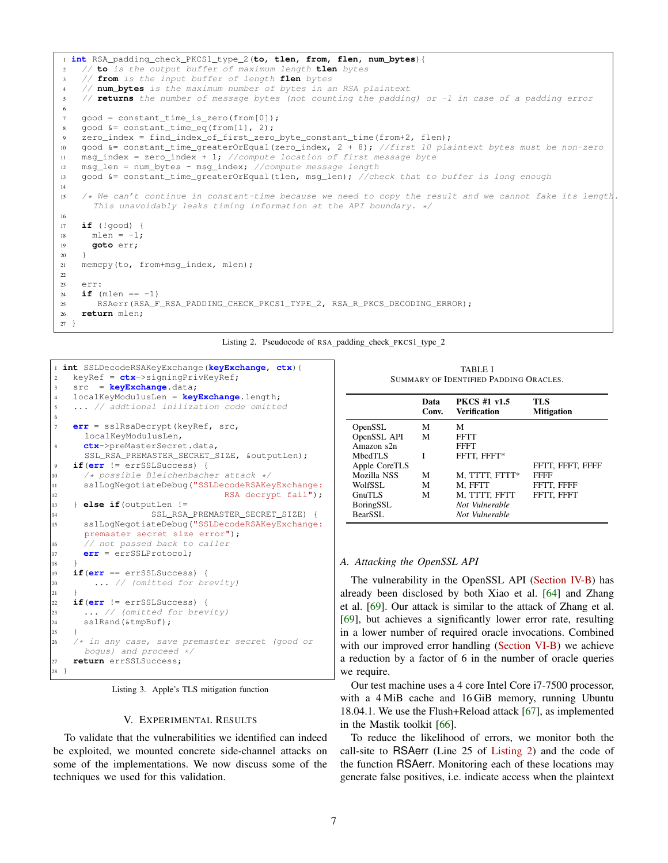```
1 int RSA_padding_check_PKCS1_type_2(to, tlen, from, flen, num_bytes){
2 // to is the output buffer of maximum length tlen bytes
3 // from is the input buffer of length flen bytes
    4 // num_bytes is the maximum number of bytes in an RSA plaintext
5 // returns the number of message bytes (not counting the padding) or -1 in case of a padding error
 6
7 good = constant_time_is_zero(from[0]);
8 good &= constant_time_eq(from[1], 2);
9 zero_index = find_index_of_first_zero_byte_constant_time(from+2, flen);
10 good &= constant_time_greaterOrEqual(zero_index, 2 + 8); //first 10 plaintext bytes must be non-zero
11 msg_index = zero_index + 1; //compute location of first message byte
12 msq_len = num_bytes - msq_index; //compute message length
13 good &= constant_time_greaterOrEqual(tlen, msg_len); //check that to buffer is long enough
14
15 /* We can't continue in constant-time because we need to copy the result and we cannot fake its length
      This unavoidably leaks timing information at the API boundary. */16
17 if (!good) {
18 mlen = -1;19 goto err;
20 }
21 memcpy(to, from+msg_index, mlen);
22
23 err:
24 if (mlen == -1)
25 RSAerr(RSA_F_RSA_PADDING_CHECK_PKCS1_TYPE_2, RSA_R_PKCS_DECODING_ERROR);
26 return mlen;
27 }
```
Listing 2. Pseudocode of RSA\_padding\_check\_PKCS1\_type\_2

```
1 int SSLDecodeRSAKeyExchange(keyExchange, ctx){
   2 keyRef = ctx->signingPrivKeyRef;
   3 src = keyExchange.data;
   4 localKeyModulusLen = keyExchange.length;
5 ... // addtional inilization code omitted
6
   7 err = sslRsaDecrypt(keyRef, src,
      localKeyModulusLen,
     8 ctx->preMasterSecret.data,
     SSL_RSA_PREMASTER_SECRET_SIZE, &outputLen);
   9 if(err != errSSLSuccess) {
10 /* possible Bleichenbacher attack */
11 sslLogNegotiateDebug("SSLDecodeRSAKeyExchange:
12 RSA decrypt fail");
13 } else if(outputLen !=
14 SSL_RSA_PREMASTER_SECRET_SIZE) {
15 sslLogNegotiateDebug("SSLDecodeRSAKeyExchange:
     premaster secret size error");
16 // not passed back to caller
17 err = errSSLProtocol;
18 }
19 if(err == errSSLSuccess) {
20 ... // (omitted for brevity)
2122 if(err != errSSLSuccess) {
23 ... // (omitted for brevity)<br>24 sslRand(&tmpBuf);
     sslRand(&tmpBuf);
2526 /* in any case, save premaster secret (good or
     bogus) and proceed */
27 return errSSLSuccess;
28 }
```
Listing 3. Apple's TLS mitigation function

#### V. EXPERIMENTAL RESULTS

To validate that the vulnerabilities we identified can indeed be exploited, we mounted concrete side-channel attacks on some of the implementations. We now discuss some of the techniques we used for this validation.

TABLE I SUMMARY OF IDENTIFIED PADDING ORACLES.

<span id="page-6-2"></span>

|               | Data<br>Conv. | <b>PKCS #1 v1.5</b><br><b>Verification</b> | TLS<br><b>Mitigation</b> |  |  |  |
|---------------|---------------|--------------------------------------------|--------------------------|--|--|--|
| OpenSSL       | М             | М                                          |                          |  |  |  |
| OpenSSL API   | М             | FFTT                                       |                          |  |  |  |
| Amazon s2n    |               | <b>FFFT</b>                                |                          |  |  |  |
| MbedTLS       | I             | FFTT, FFFT*                                |                          |  |  |  |
| Apple CoreTLS |               |                                            | FFTT, FFFT, FFFF         |  |  |  |
| Mozilla NSS   | М             | M, TTTT, FTTT*                             | FFFF                     |  |  |  |
| WolfSSL       | М             | M, FFTT                                    | FFTT, FFFF               |  |  |  |
| GnuTI.S       | M             | M, TTTT, FFTT                              | FFTT, FFFT               |  |  |  |
| BoringSSL     |               | Not Vulnerable                             |                          |  |  |  |
| BearSSL       |               | Not Vulnerable                             |                          |  |  |  |

#### <span id="page-6-3"></span>*A. Attacking the OpenSSL API*

The vulnerability in the OpenSSL API [\(Section IV-B\)](#page-5-0) has already been disclosed by both Xiao et al. [\[64\]](#page-14-17) and Zhang et al. [\[69\]](#page-14-3). Our attack is similar to the attack of Zhang et al. [\[69\]](#page-14-3), but achieves a significantly lower error rate, resulting in a lower number of required oracle invocations. Combined with our improved error handling [\(Section VI-B\)](#page-10-0) we achieve a reduction by a factor of 6 in the number of oracle queries we require.

Our test machine uses a 4 core Intel Core i7-7500 processor, with a 4 MiB cache and 16 GiB memory, running Ubuntu 18.04.1. We use the Flush+Reload attack [\[67\]](#page-14-10), as implemented in the Mastik toolkit [\[66\]](#page-14-19).

To reduce the likelihood of errors, we monitor both the call-site to RSAerr (Line 25 of [Listing 2\)](#page-6-0) and the code of the function RSAerr. Monitoring each of these locations may generate false positives, i.e. indicate access when the plaintext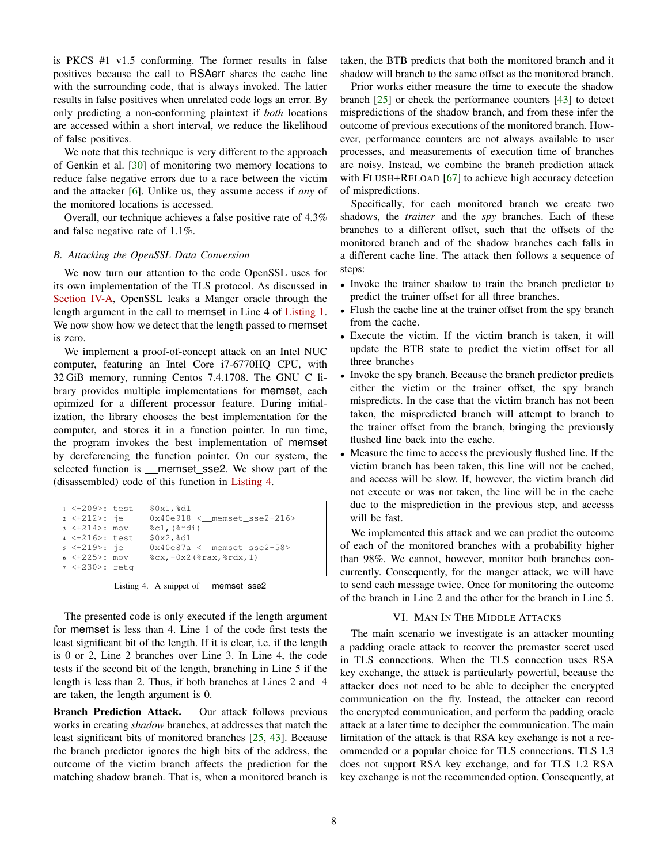is PKCS #1 v1.5 conforming. The former results in false positives because the call to RSAerr shares the cache line with the surrounding code, that is always invoked. The latter results in false positives when unrelated code logs an error. By only predicting a non-conforming plaintext if *both* locations are accessed within a short interval, we reduce the likelihood of false positives.

We note that this technique is very different to the approach of Genkin et al. [\[30\]](#page-13-30) of monitoring two memory locations to reduce false negative errors due to a race between the victim and the attacker [\[6\]](#page-12-4). Unlike us, they assume access if *any* of the monitored locations is accessed.

Overall, our technique achieves a false positive rate of 4.3% and false negative rate of 1.1%.

#### <span id="page-7-2"></span>*B. Attacking the OpenSSL Data Conversion*

We now turn our attention to the code OpenSSL uses for its own implementation of the TLS protocol. As discussed in [Section IV-A,](#page-4-0) OpenSSL leaks a Manger oracle through the length argument in the call to memset in Line 4 of [Listing 1.](#page-4-1) We now show how we detect that the length passed to memset is zero.

We implement a proof-of-concept attack on an Intel NUC computer, featuring an Intel Core i7-6770HQ CPU, with 32 GiB memory, running Centos 7.4.1708. The GNU C library provides multiple implementations for memset, each opimized for a different processor feature. During initialization, the library chooses the best implementation for the computer, and stores it in a function pointer. In run time, the program invokes the best implementation of memset by dereferencing the function pointer. On our system, the selected function is memset sse2. We show part of the (disassembled) code of this function in [Listing 4.](#page-7-1)

```
1 <+209>: test $0x1,%dl<br>2 <+212>: je 0x40e918
2 <+212>: je 0x40e918 <__memset_sse2+216>
                     %cl,(%rdi)<br>$0x2,%dl
4 <+216>: test<br>5 <+219>: je
                     0x40e87a <_ memset_sse2+58>
6 <+225>: mov %cx,-0x2(%rax,%rdx,1)
7 <+230>: retq
```
Listing 4. A snippet of \_memset\_sse2

The presented code is only executed if the length argument for memset is less than 4. Line 1 of the code first tests the least significant bit of the length. If it is clear, i.e. if the length is 0 or 2, Line 2 branches over Line 3. In Line 4, the code tests if the second bit of the length, branching in Line 5 if the length is less than 2. Thus, if both branches at Lines 2 and 4 are taken, the length argument is 0.

Branch Prediction Attack. Our attack follows previous works in creating *shadow* branches, at addresses that match the least significant bits of monitored branches [\[25,](#page-13-22) [43\]](#page-13-24). Because the branch predictor ignores the high bits of the address, the outcome of the victim branch affects the prediction for the matching shadow branch. That is, when a monitored branch is taken, the BTB predicts that both the monitored branch and it shadow will branch to the same offset as the monitored branch.

Prior works either measure the time to execute the shadow branch [\[25\]](#page-13-22) or check the performance counters [\[43\]](#page-13-24) to detect mispredictions of the shadow branch, and from these infer the outcome of previous executions of the monitored branch. However, performance counters are not always available to user processes, and measurements of execution time of branches are noisy. Instead, we combine the branch prediction attack with FLUSH+RELOAD [\[67\]](#page-14-10) to achieve high accuracy detection of mispredictions.

Specifically, for each monitored branch we create two shadows, the *trainer* and the *spy* branches. Each of these branches to a different offset, such that the offsets of the monitored branch and of the shadow branches each falls in a different cache line. The attack then follows a sequence of steps:

- Invoke the trainer shadow to train the branch predictor to predict the trainer offset for all three branches.
- Flush the cache line at the trainer offset from the spy branch from the cache.
- Execute the victim. If the victim branch is taken, it will update the BTB state to predict the victim offset for all three branches
- Invoke the spy branch. Because the branch predictor predicts either the victim or the trainer offset, the spy branch mispredicts. In the case that the victim branch has not been taken, the mispredicted branch will attempt to branch to the trainer offset from the branch, bringing the previously flushed line back into the cache.
- Measure the time to access the previously flushed line. If the victim branch has been taken, this line will not be cached, and access will be slow. If, however, the victim branch did not execute or was not taken, the line will be in the cache due to the misprediction in the previous step, and accesss will be fast.

We implemented this attack and we can predict the outcome of each of the monitored branches with a probability higher than 98%. We cannot, however, monitor both branches concurrently. Consequently, for the manger attack, we will have to send each message twice. Once for monitoring the outcome of the branch in Line 2 and the other for the branch in Line 5.

# VI. MAN IN THE MIDDLE ATTACKS

<span id="page-7-0"></span>The main scenario we investigate is an attacker mounting a padding oracle attack to recover the premaster secret used in TLS connections. When the TLS connection uses RSA key exchange, the attack is particularly powerful, because the attacker does not need to be able to decipher the encrypted communication on the fly. Instead, the attacker can record the encrypted communication, and perform the padding oracle attack at a later time to decipher the communication. The main limitation of the attack is that RSA key exchange is not a recommended or a popular choice for TLS connections. TLS 1.3 does not support RSA key exchange, and for TLS 1.2 RSA key exchange is not the recommended option. Consequently, at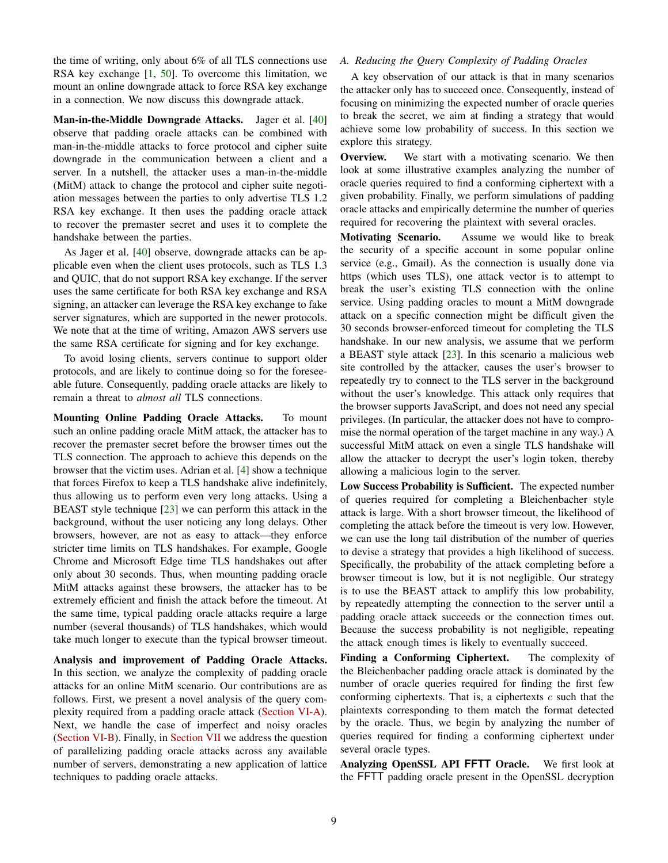the time of writing, only about 6% of all TLS connections use RSA key exchange [\[1,](#page-12-0) [50\]](#page-14-4). To overcome this limitation, we mount an online downgrade attack to force RSA key exchange in a connection. We now discuss this downgrade attack.

Man-in-the-Middle Downgrade Attacks. Jager et al. [\[40\]](#page-13-31) observe that padding oracle attacks can be combined with man-in-the-middle attacks to force protocol and cipher suite downgrade in the communication between a client and a server. In a nutshell, the attacker uses a man-in-the-middle (MitM) attack to change the protocol and cipher suite negotiation messages between the parties to only advertise TLS 1.2 RSA key exchange. It then uses the padding oracle attack to recover the premaster secret and uses it to complete the handshake between the parties.

As Jager et al. [\[40\]](#page-13-31) observe, downgrade attacks can be applicable even when the client uses protocols, such as TLS 1.3 and QUIC, that do not support RSA key exchange. If the server uses the same certificate for both RSA key exchange and RSA signing, an attacker can leverage the RSA key exchange to fake server signatures, which are supported in the newer protocols. We note that at the time of writing, Amazon AWS servers use the same RSA certificate for signing and for key exchange.

To avoid losing clients, servers continue to support older protocols, and are likely to continue doing so for the foreseeable future. Consequently, padding oracle attacks are likely to remain a threat to *almost all* TLS connections.

Mounting Online Padding Oracle Attacks. To mount such an online padding oracle MitM attack, the attacker has to recover the premaster secret before the browser times out the TLS connection. The approach to achieve this depends on the browser that the victim uses. Adrian et al. [\[4\]](#page-12-5) show a technique that forces Firefox to keep a TLS handshake alive indefinitely, thus allowing us to perform even very long attacks. Using a BEAST style technique [\[23\]](#page-13-4) we can perform this attack in the background, without the user noticing any long delays. Other browsers, however, are not as easy to attack—they enforce stricter time limits on TLS handshakes. For example, Google Chrome and Microsoft Edge time TLS handshakes out after only about 30 seconds. Thus, when mounting padding oracle MitM attacks against these browsers, the attacker has to be extremely efficient and finish the attack before the timeout. At the same time, typical padding oracle attacks require a large number (several thousands) of TLS handshakes, which would take much longer to execute than the typical browser timeout.

Analysis and improvement of Padding Oracle Attacks. In this section, we analyze the complexity of padding oracle attacks for an online MitM scenario. Our contributions are as follows. First, we present a novel analysis of the query complexity required from a padding oracle attack [\(Section VI-A\)](#page-8-0). Next, we handle the case of imperfect and noisy oracles [\(Section VI-B\)](#page-10-0). Finally, in [Section VII](#page-10-1) we address the question of parallelizing padding oracle attacks across any available number of servers, demonstrating a new application of lattice techniques to padding oracle attacks.

# <span id="page-8-0"></span>*A. Reducing the Query Complexity of Padding Oracles*

A key observation of our attack is that in many scenarios the attacker only has to succeed once. Consequently, instead of focusing on minimizing the expected number of oracle queries to break the secret, we aim at finding a strategy that would achieve some low probability of success. In this section we explore this strategy.

**Overview.** We start with a motivating scenario. We then look at some illustrative examples analyzing the number of oracle queries required to find a conforming ciphertext with a given probability. Finally, we perform simulations of padding oracle attacks and empirically determine the number of queries required for recovering the plaintext with several oracles.

Motivating Scenario. Assume we would like to break the security of a specific account in some popular online service (e.g., Gmail). As the connection is usually done via https (which uses TLS), one attack vector is to attempt to break the user's existing TLS connection with the online service. Using padding oracles to mount a MitM downgrade attack on a specific connection might be difficult given the 30 seconds browser-enforced timeout for completing the TLS handshake. In our new analysis, we assume that we perform a BEAST style attack [\[23\]](#page-13-4). In this scenario a malicious web site controlled by the attacker, causes the user's browser to repeatedly try to connect to the TLS server in the background without the user's knowledge. This attack only requires that the browser supports JavaScript, and does not need any special privileges. (In particular, the attacker does not have to compromise the normal operation of the target machine in any way.) A successful MitM attack on even a single TLS handshake will allow the attacker to decrypt the user's login token, thereby allowing a malicious login to the server.

Low Success Probability is Sufficient. The expected number of queries required for completing a Bleichenbacher style attack is large. With a short browser timeout, the likelihood of completing the attack before the timeout is very low. However, we can use the long tail distribution of the number of queries to devise a strategy that provides a high likelihood of success. Specifically, the probability of the attack completing before a browser timeout is low, but it is not negligible. Our strategy is to use the BEAST attack to amplify this low probability, by repeatedly attempting the connection to the server until a padding oracle attack succeeds or the connection times out. Because the success probability is not negligible, repeating the attack enough times is likely to eventually succeed.

Finding a Conforming Ciphertext. The complexity of the Bleichenbacher padding oracle attack is dominated by the number of oracle queries required for finding the first few conforming ciphertexts. That is, a ciphertexts  $c$  such that the plaintexts corresponding to them match the format detected by the oracle. Thus, we begin by analyzing the number of queries required for finding a conforming ciphertext under several oracle types.

Analyzing OpenSSL API **FFTT** Oracle. We first look at the FFTT padding oracle present in the OpenSSL decryption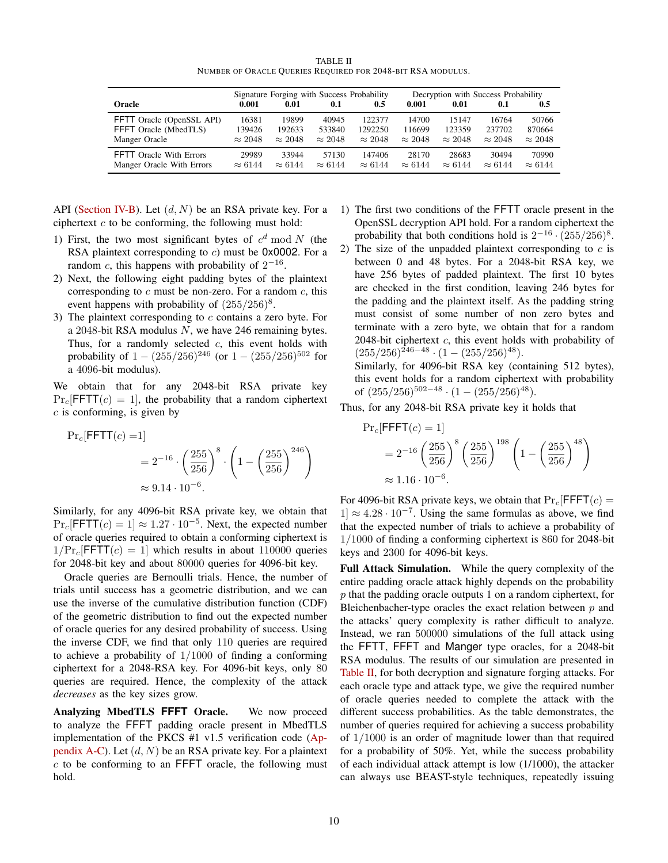TABLE II NUMBER OF ORACLE QUERIES REQUIRED FOR 2048-BIT RSA MODULUS.

<span id="page-9-0"></span>

|                                | Signature Forging with Success Probability |                |                         |                          | Decryption with Success Probability |                         |                         |                |
|--------------------------------|--------------------------------------------|----------------|-------------------------|--------------------------|-------------------------------------|-------------------------|-------------------------|----------------|
| <b>Oracle</b>                  | 0.001                                      | 0.01           | 0.1                     | 0.5                      | 0.001                               | 0.01                    | 0.1                     | 0.5            |
| FFTT Oracle (OpenSSL API)      | 16381                                      | 19899          | 40945                   | 122377                   | 14700                               | 15147                   | 16764                   | 50766          |
| FFFT Oracle (MbedTLS)          | 139426                                     | 192633         | 533840                  | 1292250                  | 116699                              | 123359                  | 237702                  | 870664         |
| Manger Oracle                  | $\approx 2048$                             | $\approx 2048$ | $\approx 2048$          | $\approx 2048$           | $\approx 2048$                      | $\approx 2048$          | $\approx 2048$          | $\approx 2048$ |
| <b>FFTT</b> Oracle With Errors | 29989                                      | 33944          | 57130<br>$\approx 6144$ | 147406<br>$\approx 6144$ | 28170<br>$\approx 6144$             | 28683<br>$\approx 6144$ | 30494<br>$\approx 6144$ | 70990          |
| Manger Oracle With Errors      | $\approx 6144$                             | $\approx 6144$ |                         |                          |                                     |                         |                         | $\approx 6144$ |

API [\(Section IV-B\)](#page-5-0). Let  $(d, N)$  be an RSA private key. For a ciphertext  $c$  to be conforming, the following must hold:

- 1) First, the two most significant bytes of  $c<sup>d</sup>$  mod N (the RSA plaintext corresponding to c) must be 0x0002. For a random c, this happens with probability of  $2^{-16}$ .
- 2) Next, the following eight padding bytes of the plaintext corresponding to  $c$  must be non-zero. For a random  $c$ , this event happens with probability of  $(255/256)^8$ .
- 3) The plaintext corresponding to  $c$  contains a zero byte. For a 2048-bit RSA modulus N, we have 246 remaining bytes. Thus, for a randomly selected  $c$ , this event holds with probability of  $1 - (255/256)^{246}$  (or  $1 - (255/256)^{502}$  for a 4096-bit modulus).

We obtain that for any 2048-bit RSA private key  $Pr_c$ [FFTT $(c) = 1$ ], the probability that a random ciphertext  $c$  is conforming, is given by

$$
\Pr_c[\text{FFT}(c) = 1] \\
= 2^{-16} \cdot \left(\frac{255}{256}\right)^8 \cdot \left(1 - \left(\frac{255}{256}\right)^{246}\right) \\
\approx 9.14 \cdot 10^{-6}.
$$

Similarly, for any 4096-bit RSA private key, we obtain that  $Pr_c[\text{FFT}(c) = 1] \approx 1.27 \cdot 10^{-5}$ . Next, the expected number of oracle queries required to obtain a conforming ciphertext is  $1/Pr_c$ [FFTT $(c) = 1$ ] which results in about 110000 queries for 2048-bit key and about 80000 queries for 4096-bit key.

Oracle queries are Bernoulli trials. Hence, the number of trials until success has a geometric distribution, and we can use the inverse of the cumulative distribution function (CDF) of the geometric distribution to find out the expected number of oracle queries for any desired probability of success. Using the inverse CDF, we find that only 110 queries are required to achieve a probability of  $1/1000$  of finding a conforming ciphertext for a 2048-RSA key. For 4096-bit keys, only 80 queries are required. Hence, the complexity of the attack *decreases* as the key sizes grow.

Analyzing MbedTLS **FFFT** Oracle. We now proceed to analyze the FFFT padding oracle present in MbedTLS implementation of the PKCS #1 v1.5 verification code [\(Ap](#page-15-1)[pendix A-C\)](#page-15-1). Let  $(d, N)$  be an RSA private key. For a plaintext  $c$  to be conforming to an FFFT oracle, the following must hold.

- 1) The first two conditions of the FFTT oracle present in the OpenSSL decryption API hold. For a random ciphertext the probability that both conditions hold is  $2^{-16} \cdot (255/256)^8$ .
- 2) The size of the unpadded plaintext corresponding to  $c$  is between 0 and 48 bytes. For a 2048-bit RSA key, we have 256 bytes of padded plaintext. The first 10 bytes are checked in the first condition, leaving 246 bytes for the padding and the plaintext itself. As the padding string must consist of some number of non zero bytes and terminate with a zero byte, we obtain that for a random 2048-bit ciphertext  $c$ , this event holds with probability of  $(255/256)^{246-48} \cdot (1 - (255/256)^{48}).$

Similarly, for 4096-bit RSA key (containing 512 bytes), this event holds for a random ciphertext with probability of  $(255/256)^{502-48} \cdot (1 - (255/256)^{48})$ .

Thus, for any 2048-bit RSA private key it holds that

$$
\Pr_c[\text{FFT}(c) = 1]
$$
  
=  $2^{-16} \left(\frac{255}{256}\right)^8 \left(\frac{255}{256}\right)^{198} \left(1 - \left(\frac{255}{256}\right)^{48}\right)$   
\$\approx 1.16 \cdot 10^{-6}\$.

For 4096-bit RSA private keys, we obtain that  $Pr_c$  [FFFT(c) =  $1] \approx 4.28 \cdot 10^{-7}$ . Using the same formulas as above, we find that the expected number of trials to achieve a probability of 1/1000 of finding a conforming ciphertext is 860 for 2048-bit keys and 2300 for 4096-bit keys.

Full Attack Simulation. While the query complexity of the entire padding oracle attack highly depends on the probability p that the padding oracle outputs 1 on a random ciphertext, for Bleichenbacher-type oracles the exact relation between  $p$  and the attacks' query complexity is rather difficult to analyze. Instead, we ran 500000 simulations of the full attack using the FFTT, FFFT and Manger type oracles, for a 2048-bit RSA modulus. The results of our simulation are presented in [Table II,](#page-9-0) for both decryption and signature forging attacks. For each oracle type and attack type, we give the required number of oracle queries needed to complete the attack with the different success probabilities. As the table demonstrates, the number of queries required for achieving a success probability of 1/1000 is an order of magnitude lower than that required for a probability of 50%. Yet, while the success probability of each individual attack attempt is low (1/1000), the attacker can always use BEAST-style techniques, repeatedly issuing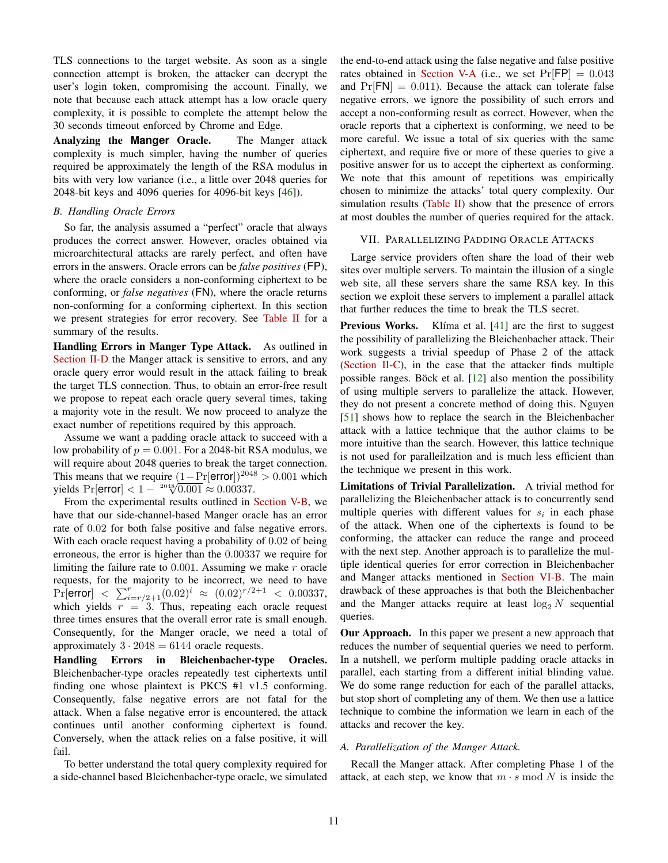TLS connections to the target website. As soon as a single connection attempt is broken, the attacker can decrypt the user's login token, compromising the account. Finally, we note that because each attack attempt has a low oracle query complexity, it is possible to complete the attempt below the 30 seconds timeout enforced by Chrome and Edge.

Analyzing the **Manger** Oracle. The Manger attack complexity is much simpler, having the number of queries required be approximately the length of the RSA modulus in bits with very low variance (i.e., a little over 2048 queries for 2048-bit keys and 4096 queries for 4096-bit keys [\[46\]](#page-13-10)).

#### <span id="page-10-0"></span>*B. Handling Oracle Errors*

So far, the analysis assumed a "perfect" oracle that always produces the correct answer. However, oracles obtained via microarchitectural attacks are rarely perfect, and often have errors in the answers. Oracle errors can be *false positives* (FP), where the oracle considers a non-conforming ciphertext to be conforming, or *false negatives* (FN), where the oracle returns non-conforming for a conforming ciphertext. In this section we present strategies for error recovery. See [Table II](#page-9-0) for a summary of the results.

Handling Errors in Manger Type Attack. As outlined in [Section II-D](#page-2-0) the Manger attack is sensitive to errors, and any oracle query error would result in the attack failing to break the target TLS connection. Thus, to obtain an error-free result we propose to repeat each oracle query several times, taking a majority vote in the result. We now proceed to analyze the exact number of repetitions required by this approach.

Assume we want a padding oracle attack to succeed with a low probability of  $p = 0.001$ . For a 2048-bit RSA modulus, we will require about 2048 queries to break the target connection. This means that we require  $(1 - \Pr[\text{error}])^{2048} > 0.001$  which yields Pr[error]  $< 1 - \sqrt[2048]{0.001} \approx 0.00337$ .

From the experimental results outlined in [Section V-B,](#page-7-2) we have that our side-channel-based Manger oracle has an error rate of 0.02 for both false positive and false negative errors. With each oracle request having a probability of 0.02 of being erroneous, the error is higher than the 0.00337 we require for limiting the failure rate to  $0.001$ . Assuming we make r oracle requests, for the majority to be incorrect, we need to have  $Pr[error] < \sum_{i=r/2+1}^{r} (0.02)^{i} \approx (0.02)^{r/2+1} < 0.00337,$ which yields  $r = 3$ . Thus, repeating each oracle request three times ensures that the overall error rate is small enough. Consequently, for the Manger oracle, we need a total of approximately  $3 \cdot 2048 = 6144$  oracle requests.

Handling Errors in Bleichenbacher-type Oracles. Bleichenbacher-type oracles repeatedly test ciphertexts until finding one whose plaintext is PKCS #1 v1.5 conforming. Consequently, false negative errors are not fatal for the attack. When a false negative error is encountered, the attack continues until another conforming ciphertext is found. Conversely, when the attack relies on a false positive, it will fail.

To better understand the total query complexity required for a side-channel based Bleichenbacher-type oracle, we simulated

the end-to-end attack using the false negative and false positive rates obtained in [Section V-A](#page-6-3) (i.e., we set  $Pr[FP] = 0.043$ and  $Pr[FN] = 0.011$ . Because the attack can tolerate false negative errors, we ignore the possibility of such errors and accept a non-conforming result as correct. However, when the oracle reports that a ciphertext is conforming, we need to be more careful. We issue a total of six queries with the same ciphertext, and require five or more of these queries to give a positive answer for us to accept the ciphertext as conforming. We note that this amount of repetitions was empirically chosen to minimize the attacks' total query complexity. Our simulation results [\(Table II\)](#page-9-0) show that the presence of errors at most doubles the number of queries required for the attack.

#### <span id="page-10-1"></span>VII. PARALLELIZING PADDING ORACLE ATTACKS

Large service providers often share the load of their web sites over multiple servers. To maintain the illusion of a single web site, all these servers share the same RSA key. In this section we exploit these servers to implement a parallel attack that further reduces the time to break the TLS secret.

Previous Works. Klíma et al. [\[41\]](#page-13-2) are the first to suggest the possibility of parallelizing the Bleichenbacher attack. Their work suggests a trivial speedup of Phase 2 of the attack [\(Section II-C\)](#page-1-0), in the case that the attacker finds multiple possible ranges. Böck et al.  $[12]$  $[12]$  also mention the possibility of using multiple servers to parallelize the attack. However, they do not present a concrete method of doing this. Nguyen [\[51\]](#page-14-20) shows how to replace the search in the Bleichenbacher attack with a lattice technique that the author claims to be more intuitive than the search. However, this lattice technique is not used for paralleilzation and is much less efficient than the technique we present in this work.

Limitations of Trivial Parallelization. A trivial method for parallelizing the Bleichenbacher attack is to concurrently send multiple queries with different values for  $s_i$  in each phase of the attack. When one of the ciphertexts is found to be conforming, the attacker can reduce the range and proceed with the next step. Another approach is to parallelize the multiple identical queries for error correction in Bleichenbacher and Manger attacks mentioned in [Section VI-B.](#page-10-0) The main drawback of these approaches is that both the Bleichenbacher and the Manger attacks require at least  $\log_2 N$  sequential queries.

Our Approach. In this paper we present a new approach that reduces the number of sequential queries we need to perform. In a nutshell, we perform multiple padding oracle attacks in parallel, each starting from a different initial blinding value. We do some range reduction for each of the parallel attacks, but stop short of completing any of them. We then use a lattice technique to combine the information we learn in each of the attacks and recover the key.

#### *A. Parallelization of the Manger Attack.*

Recall the Manger attack. After completing Phase 1 of the attack, at each step, we know that  $m \cdot s \mod N$  is inside the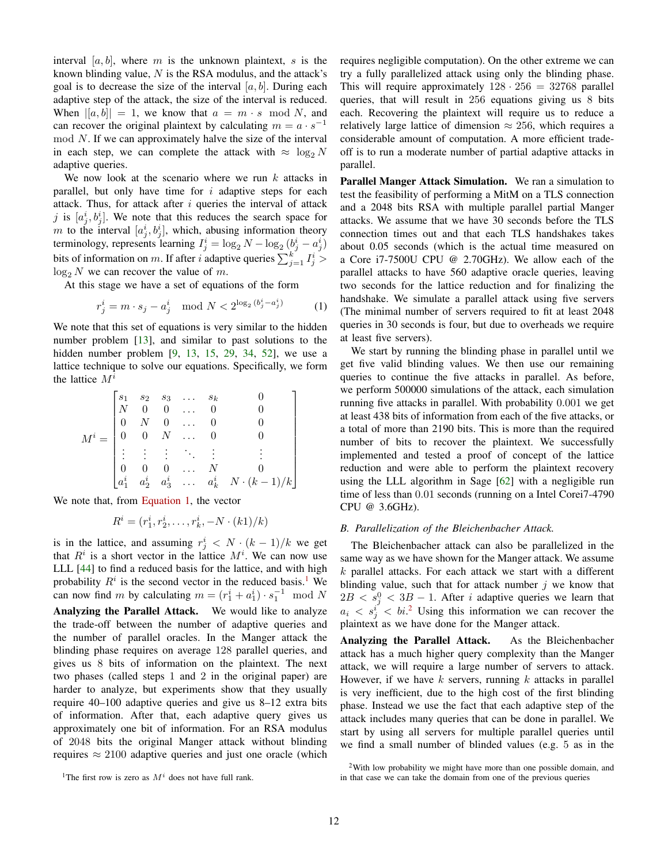interval  $[a, b]$ , where m is the unknown plaintext, s is the known blinding value,  $N$  is the RSA modulus, and the attack's goal is to decrease the size of the interval  $[a, b]$ . During each adaptive step of the attack, the size of the interval is reduced. When  $|[a, b]| = 1$ , we know that  $a = m \cdot s \mod N$ , and can recover the original plaintext by calculating  $m = a \cdot s^{-1}$  $mod\ N$ . If we can approximately halve the size of the interval in each step, we can complete the attack with  $\approx \log_2 N$ adaptive queries.

We now look at the scenario where we run  $k$  attacks in parallel, but only have time for  $i$  adaptive steps for each attack. Thus, for attack after  $i$  queries the interval of attack j is  $[a_j^i, b_j^i]$ . We note that this reduces the search space for m to the interval  $[a_j^i, b_j^i]$ , which, abusing information theory terminology, represents learning  $I_j^i = \log_2 N - \log_2 \left(b_j^i - a_j^i\right)$ bits of information on m. If after i adaptive queries  $\sum_{j=1}^{k} I_j^i$  $\log_2 N$  we can recover the value of m.

At this stage we have a set of equations of the form

$$
r_j^i = m \cdot s_j - a_j^i \mod N < 2^{\log_2(b_j^i - a_j^i)} \tag{1}
$$

We note that this set of equations is very similar to the hidden number problem [\[13\]](#page-13-32), and similar to past solutions to the hidden number problem [\[9,](#page-13-33) [13,](#page-13-32) [15,](#page-13-34) [29,](#page-13-35) [34,](#page-13-36) [52\]](#page-14-21), we use a lattice technique to solve our equations. Specifically, we form the lattice  $M^i$ 

$$
M^i = \begin{bmatrix} s_1 & s_2 & s_3 & \dots & s_k & 0 \\ N & 0 & 0 & \dots & 0 & 0 \\ 0 & N & 0 & \dots & 0 & 0 \\ 0 & 0 & N & \dots & 0 & 0 \\ \vdots & \vdots & \vdots & \ddots & \vdots & \vdots \\ 0 & 0 & 0 & \dots & N & 0 \\ a_1^i & a_2^i & a_3^i & \dots & a_k^i & N \cdot (k-1)/k \end{bmatrix}
$$

We note that, from [Equation 1,](#page-11-0) the vector

$$
R^{i} = (r_{1}^{i}, r_{2}^{i}, \dots, r_{k}^{i}, -N \cdot (k1)/k)
$$

is in the lattice, and assuming  $r_j^i < N \cdot (k-1)/k$  we get that  $R^i$  is a short vector in the lattice  $M^i$ . We can now use LLL [\[44\]](#page-13-37) to find a reduced basis for the lattice, and with high probability  $R<sup>i</sup>$  is the second vector in the reduced basis.<sup>[1](#page-11-1)</sup> We can now find m by calculating  $m = (r_1^i + a_1^i) \cdot s_1^{-1} \mod N$ Analyzing the Parallel Attack. We would like to analyze the trade-off between the number of adaptive queries and the number of parallel oracles. In the Manger attack the blinding phase requires on average 128 parallel queries, and gives us 8 bits of information on the plaintext. The next two phases (called steps 1 and 2 in the original paper) are harder to analyze, but experiments show that they usually require 40–100 adaptive queries and give us 8–12 extra bits of information. After that, each adaptive query gives us approximately one bit of information. For an RSA modulus of 2048 bits the original Manger attack without blinding requires  $\approx 2100$  adaptive queries and just one oracle (which requires negligible computation). On the other extreme we can try a fully parallelized attack using only the blinding phase. This will require approximately  $128 \cdot 256 = 32768$  parallel queries, that will result in 256 equations giving us 8 bits each. Recovering the plaintext will require us to reduce a relatively large lattice of dimension  $\approx 256$ , which requires a considerable amount of computation. A more efficient tradeoff is to run a moderate number of partial adaptive attacks in parallel.

Parallel Manger Attack Simulation. We ran a simulation to test the feasibility of performing a MitM on a TLS connection and a 2048 bits RSA with multiple parallel partial Manger attacks. We assume that we have 30 seconds before the TLS connection times out and that each TLS handshakes takes about 0.05 seconds (which is the actual time measured on a Core i7-7500U CPU @ 2.70GHz). We allow each of the parallel attacks to have 560 adaptive oracle queries, leaving two seconds for the lattice reduction and for finalizing the handshake. We simulate a parallel attack using five servers (The minimal number of servers required to fit at least 2048 queries in 30 seconds is four, but due to overheads we require at least five servers).

<span id="page-11-0"></span>We start by running the blinding phase in parallel until we get five valid blinding values. We then use our remaining queries to continue the five attacks in parallel. As before, we perform 500000 simulations of the attack, each simulation running five attacks in parallel. With probability 0.001 we get at least 438 bits of information from each of the five attacks, or a total of more than 2190 bits. This is more than the required number of bits to recover the plaintext. We successfully implemented and tested a proof of concept of the lattice reduction and were able to perform the plaintext recovery using the LLL algorithm in Sage [\[62\]](#page-14-22) with a negligible run time of less than 0.01 seconds (running on a Intel Corei7-4790 CPU @ 3.6GHz).

#### *B. Parallelization of the Bleichenbacher Attack.*

The Bleichenbacher attack can also be parallelized in the same way as we have shown for the Manger attack. We assume k parallel attacks. For each attack we start with a different blinding value, such that for attack number  $j$  we know that  $2B < s_j^0 < 3B - 1$ . After i adaptive queries we learn that  $a_i < s_j^{i'} < bi$ <sup>[2](#page-11-2)</sup>. Using this information we can recover the plaintext as we have done for the Manger attack.

Analyzing the Parallel Attack. As the Bleichenbacher attack has a much higher query complexity than the Manger attack, we will require a large number of servers to attack. However, if we have  $k$  servers, running  $k$  attacks in parallel is very inefficient, due to the high cost of the first blinding phase. Instead we use the fact that each adaptive step of the attack includes many queries that can be done in parallel. We start by using all servers for multiple parallel queries until we find a small number of blinded values (e.g. 5 as in the

<span id="page-11-1"></span><sup>&</sup>lt;sup>1</sup>The first row is zero as  $M<sup>i</sup>$  does not have full rank.

<span id="page-11-2"></span> $2$ With low probability we might have more than one possible domain, and in that case we can take the domain from one of the previous queries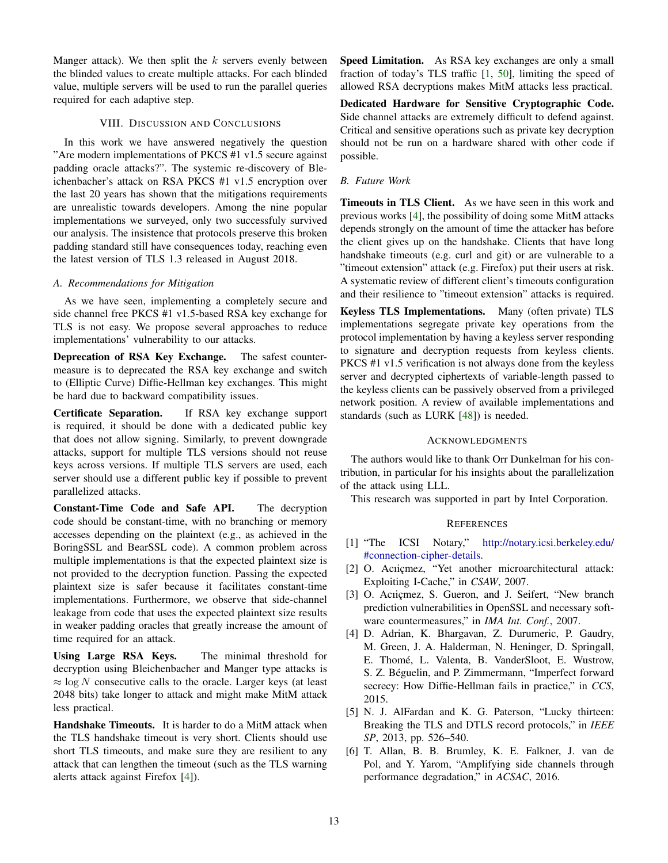Manger attack). We then split the  $k$  servers evenly between the blinded values to create multiple attacks. For each blinded value, multiple servers will be used to run the parallel queries required for each adaptive step.

# VIII. DISCUSSION AND CONCLUSIONS

In this work we have answered negatively the question "Are modern implementations of PKCS #1 v1.5 secure against padding oracle attacks?". The systemic re-discovery of Bleichenbacher's attack on RSA PKCS #1 v1.5 encryption over the last 20 years has shown that the mitigations requirements are unrealistic towards developers. Among the nine popular implementations we surveyed, only two successfuly survived our analysis. The insistence that protocols preserve this broken padding standard still have consequences today, reaching even the latest version of TLS 1.3 released in August 2018.

# *A. Recommendations for Mitigation*

As we have seen, implementing a completely secure and side channel free PKCS #1 v1.5-based RSA key exchange for TLS is not easy. We propose several approaches to reduce implementations' vulnerability to our attacks.

Deprecation of RSA Key Exchange. The safest countermeasure is to deprecated the RSA key exchange and switch to (Elliptic Curve) Diffie-Hellman key exchanges. This might be hard due to backward compatibility issues.

Certificate Separation. If RSA key exchange support is required, it should be done with a dedicated public key that does not allow signing. Similarly, to prevent downgrade attacks, support for multiple TLS versions should not reuse keys across versions. If multiple TLS servers are used, each server should use a different public key if possible to prevent parallelized attacks.

Constant-Time Code and Safe API. The decryption code should be constant-time, with no branching or memory accesses depending on the plaintext (e.g., as achieved in the BoringSSL and BearSSL code). A common problem across multiple implementations is that the expected plaintext size is not provided to the decryption function. Passing the expected plaintext size is safer because it facilitates constant-time implementations. Furthermore, we observe that side-channel leakage from code that uses the expected plaintext size results in weaker padding oracles that greatly increase the amount of time required for an attack.

Using Large RSA Keys. The minimal threshold for decryption using Bleichenbacher and Manger type attacks is  $\approx$  log N consecutive calls to the oracle. Larger keys (at least 2048 bits) take longer to attack and might make MitM attack less practical.

Handshake Timeouts. It is harder to do a MitM attack when the TLS handshake timeout is very short. Clients should use short TLS timeouts, and make sure they are resilient to any attack that can lengthen the timeout (such as the TLS warning alerts attack against Firefox [\[4\]](#page-12-5)).

Speed Limitation. As RSA key exchanges are only a small fraction of today's TLS traffic [\[1,](#page-12-0) [50\]](#page-14-4), limiting the speed of allowed RSA decryptions makes MitM attacks less practical.

Dedicated Hardware for Sensitive Cryptographic Code. Side channel attacks are extremely difficult to defend against. Critical and sensitive operations such as private key decryption should not be run on a hardware shared with other code if possible.

# *B. Future Work*

Timeouts in TLS Client. As we have seen in this work and previous works [\[4\]](#page-12-5), the possibility of doing some MitM attacks depends strongly on the amount of time the attacker has before the client gives up on the handshake. Clients that have long handshake timeouts (e.g. curl and git) or are vulnerable to a "timeout extension" attack (e.g. Firefox) put their users at risk. A systematic review of different client's timeouts configuration and their resilience to "timeout extension" attacks is required.

Keyless TLS Implementations. Many (often private) TLS implementations segregate private key operations from the protocol implementation by having a keyless server responding to signature and decryption requests from keyless clients. PKCS #1 v1.5 verification is not always done from the keyless server and decrypted ciphertexts of variable-length passed to the keyless clients can be passively observed from a privileged network position. A review of available implementations and standards (such as LURK [\[48\]](#page-14-23)) is needed.

# ACKNOWLEDGMENTS

The authors would like to thank Orr Dunkelman for his contribution, in particular for his insights about the parallelization of the attack using LLL.

This research was supported in part by Intel Corporation.

# **REFERENCES**

- <span id="page-12-0"></span>[1] "The ICSI Notary," [http://notary.icsi.berkeley.edu/](http://notary.icsi.berkeley.edu/#connection-cipher-details) [#connection-cipher-details.](http://notary.icsi.berkeley.edu/#connection-cipher-details)
- <span id="page-12-2"></span>[2] O. Aciic mez, "Yet another microarchitectural attack: Exploiting I-Cache," in *CSAW*, 2007.
- <span id="page-12-3"></span>[3] O. Aciicmez, S. Gueron, and J. Seifert, "New branch prediction vulnerabilities in OpenSSL and necessary software countermeasures," in *IMA Int. Conf.*, 2007.
- <span id="page-12-5"></span>[4] D. Adrian, K. Bhargavan, Z. Durumeric, P. Gaudry, M. Green, J. A. Halderman, N. Heninger, D. Springall, E. Thomé, L. Valenta, B. VanderSloot, E. Wustrow, S. Z. Béguelin, and P. Zimmermann, "Imperfect forward secrecy: How Diffie-Hellman fails in practice," in *CCS*, 2015.
- <span id="page-12-1"></span>[5] N. J. AlFardan and K. G. Paterson, "Lucky thirteen: Breaking the TLS and DTLS record protocols," in *IEEE SP*, 2013, pp. 526–540.
- <span id="page-12-4"></span>[6] T. Allan, B. B. Brumley, K. E. Falkner, J. van de Pol, and Y. Yarom, "Amplifying side channels through performance degradation," in *ACSAC*, 2016.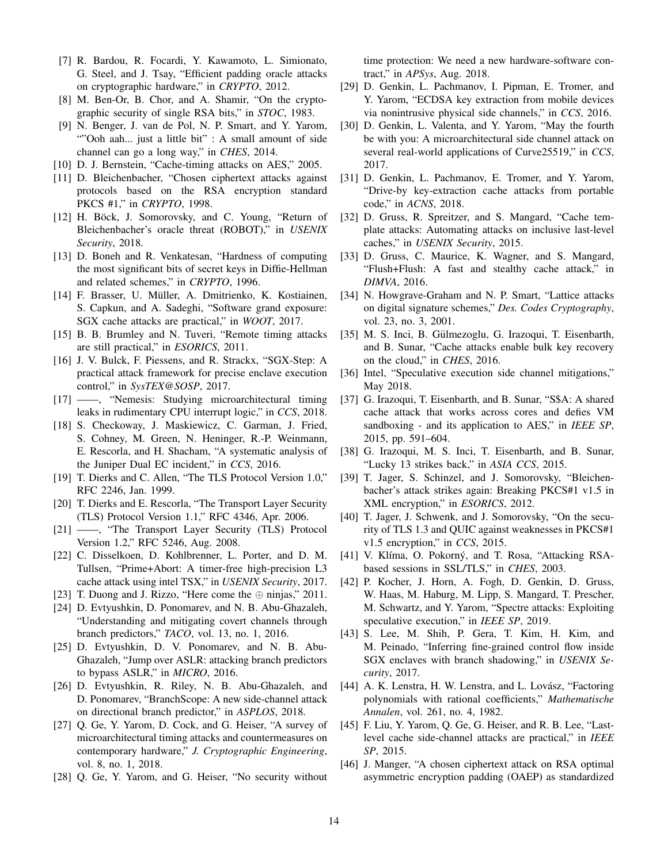- <span id="page-13-9"></span>[7] R. Bardou, R. Focardi, Y. Kawamoto, L. Simionato, G. Steel, and J. Tsay, "Efficient padding oracle attacks on cryptographic hardware," in *CRYPTO*, 2012.
- <span id="page-13-11"></span>[8] M. Ben-Or, B. Chor, and A. Shamir, "On the cryptographic security of single RSA bits," in *STOC*, 1983.
- <span id="page-13-33"></span>[9] N. Benger, J. van de Pol, N. P. Smart, and Y. Yarom, ""Ooh aah... just a little bit" : A small amount of side channel can go a long way," in *CHES*, 2014.
- <span id="page-13-13"></span>[10] D. J. Bernstein, "Cache-timing attacks on AES," 2005.
- <span id="page-13-0"></span>[11] D. Bleichenbacher, "Chosen ciphertext attacks against protocols based on the RSA encryption standard PKCS #1," in *CRYPTO*, 1998.
- <span id="page-13-1"></span>[12] H. Böck, J. Somorovsky, and C. Young, "Return of Bleichenbacher's oracle threat (ROBOT)," in *USENIX Security*, 2018.
- <span id="page-13-32"></span>[13] D. Boneh and R. Venkatesan, "Hardness of computing the most significant bits of secret keys in Diffie-Hellman and related schemes," in *CRYPTO*, 1996.
- <span id="page-13-18"></span>[14] F. Brasser, U. Müller, A. Dmitrienko, K. Kostiainen, S. Capkun, and A. Sadeghi, "Software grand exposure: SGX cache attacks are practical," in *WOOT*, 2017.
- <span id="page-13-34"></span>[15] B. B. Brumley and N. Tuveri, "Remote timing attacks are still practical," in *ESORICS*, 2011.
- <span id="page-13-38"></span>[16] J. V. Bulck, F. Piessens, and R. Strackx, "SGX-Step: A practical attack framework for precise enclave execution control," in *SysTEX@SOSP*, 2017.
- <span id="page-13-39"></span>[17] ——, "Nemesis: Studying microarchitectural timing leaks in rudimentary CPU interrupt logic," in *CCS*, 2018.
- <span id="page-13-29"></span>[18] S. Checkoway, J. Maskiewicz, C. Garman, J. Fried, S. Cohney, M. Green, N. Heninger, R.-P. Weinmann, E. Rescorla, and H. Shacham, "A systematic analysis of the Juniper Dual EC incident," in *CCS*, 2016.
- <span id="page-13-6"></span>[19] T. Dierks and C. Allen, "The TLS Protocol Version 1.0," RFC 2246, Jan. 1999.
- <span id="page-13-7"></span>[20] T. Dierks and E. Rescorla, "The Transport Layer Security (TLS) Protocol Version 1.1," RFC 4346, Apr. 2006.
- <span id="page-13-8"></span>[21] ——, "The Transport Layer Security (TLS) Protocol Version 1.2," RFC 5246, Aug. 2008.
- <span id="page-13-20"></span>[22] C. Disselkoen, D. Kohlbrenner, L. Porter, and D. M. Tullsen, "Prime+Abort: A timer-free high-precision L3 cache attack using intel TSX," in *USENIX Security*, 2017.
- <span id="page-13-4"></span>[23] T. Duong and J. Rizzo, "Here come the  $\oplus$  ninjas," 2011.
- <span id="page-13-21"></span>[24] D. Evtyushkin, D. Ponomarev, and N. B. Abu-Ghazaleh, "Understanding and mitigating covert channels through branch predictors," *TACO*, vol. 13, no. 1, 2016.
- <span id="page-13-22"></span>[25] D. Evtyushkin, D. V. Ponomarev, and N. B. Abu-Ghazaleh, "Jump over ASLR: attacking branch predictors to bypass ASLR," in *MICRO*, 2016.
- <span id="page-13-23"></span>[26] D. Evtyushkin, R. Riley, N. B. Abu-Ghazaleh, and D. Ponomarev, "BranchScope: A new side-channel attack on directional branch predictor," in *ASPLOS*, 2018.
- <span id="page-13-12"></span>[27] Q. Ge, Y. Yarom, D. Cock, and G. Heiser, "A survey of microarchitectural timing attacks and countermeasures on contemporary hardware," *J. Cryptographic Engineering*, vol. 8, no. 1, 2018.
- <span id="page-13-27"></span>[28] Q. Ge, Y. Yarom, and G. Heiser, "No security without

time protection: We need a new hardware-software contract," in *APSys*, Aug. 2018.

- <span id="page-13-35"></span>[29] D. Genkin, L. Pachmanov, I. Pipman, E. Tromer, and Y. Yarom, "ECDSA key extraction from mobile devices via nonintrusive physical side channels," in *CCS*, 2016.
- <span id="page-13-30"></span>[30] D. Genkin, L. Valenta, and Y. Yarom, "May the fourth be with you: A microarchitectural side channel attack on several real-world applications of Curve25519," in *CCS*, 2017.
- <span id="page-13-14"></span>[31] D. Genkin, L. Pachmanov, E. Tromer, and Y. Yarom, "Drive-by key-extraction cache attacks from portable code," in *ACNS*, 2018.
- <span id="page-13-17"></span>[32] D. Gruss, R. Spreitzer, and S. Mangard, "Cache template attacks: Automating attacks on inclusive last-level caches," in *USENIX Security*, 2015.
- <span id="page-13-19"></span>[33] D. Gruss, C. Maurice, K. Wagner, and S. Mangard, "Flush+Flush: A fast and stealthy cache attack," in *DIMVA*, 2016.
- <span id="page-13-36"></span>[34] N. Howgrave-Graham and N. P. Smart, "Lattice attacks" on digital signature schemes," *Des. Codes Cryptography*, vol. 23, no. 3, 2001.
- <span id="page-13-28"></span>[35] M. S. Inci, B. Gülmezoglu, G. Irazoqui, T. Eisenbarth, and B. Sunar, "Cache attacks enable bulk key recovery on the cloud," in *CHES*, 2016.
- <span id="page-13-26"></span>[36] Intel, "Speculative execution side channel mitigations," May 2018.
- <span id="page-13-15"></span>[37] G. Irazoqui, T. Eisenbarth, and B. Sunar, "S\$A: A shared cache attack that works across cores and defies VM sandboxing - and its application to AES," in *IEEE SP*, 2015, pp. 591–604.
- <span id="page-13-5"></span>[38] G. Irazoqui, M. S. Inci, T. Eisenbarth, and B. Sunar, "Lucky 13 strikes back," in *ASIA CCS*, 2015.
- <span id="page-13-3"></span>[39] T. Jager, S. Schinzel, and J. Somorovsky, "Bleichenbacher's attack strikes again: Breaking PKCS#1 v1.5 in XML encryption," in *ESORICS*, 2012.
- <span id="page-13-31"></span>[40] T. Jager, J. Schwenk, and J. Somorovsky, "On the security of TLS 1.3 and QUIC against weaknesses in PKCS#1 v1.5 encryption," in *CCS*, 2015.
- <span id="page-13-2"></span>[41] V. Klíma, O. Pokorný, and T. Rosa, "Attacking RSAbased sessions in SSL/TLS," in *CHES*, 2003.
- <span id="page-13-25"></span>[42] P. Kocher, J. Horn, A. Fogh, D. Genkin, D. Gruss, W. Haas, M. Haburg, M. Lipp, S. Mangard, T. Prescher, M. Schwartz, and Y. Yarom, "Spectre attacks: Exploiting speculative execution," in *IEEE SP*, 2019.
- <span id="page-13-24"></span>[43] S. Lee, M. Shih, P. Gera, T. Kim, H. Kim, and M. Peinado, "Inferring fine-grained control flow inside SGX enclaves with branch shadowing," in *USENIX Security*, 2017.
- <span id="page-13-37"></span>[44] A. K. Lenstra, H. W. Lenstra, and L. Lovász, "Factoring polynomials with rational coefficients," *Mathematische Annalen*, vol. 261, no. 4, 1982.
- <span id="page-13-16"></span>[45] F. Liu, Y. Yarom, Q. Ge, G. Heiser, and R. B. Lee, "Lastlevel cache side-channel attacks are practical," in *IEEE SP*, 2015.
- <span id="page-13-10"></span>[46] J. Manger, "A chosen ciphertext attack on RSA optimal asymmetric encryption padding (OAEP) as standardized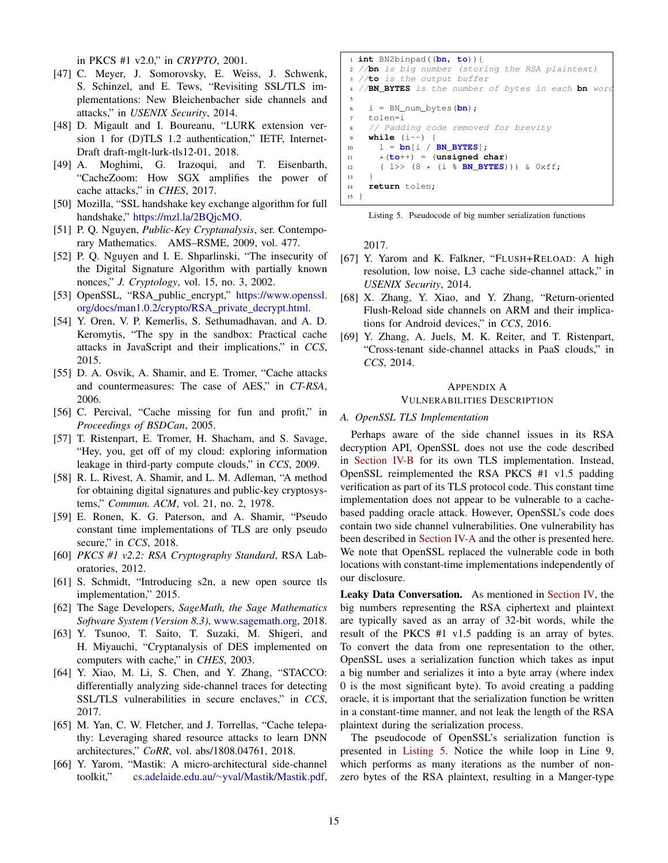in PKCS #1 v2.0," in *CRYPTO*, 2001.

- <span id="page-14-2"></span>[47] C. Meyer, J. Somorovsky, E. Weiss, J. Schwenk, S. Schinzel, and E. Tews, "Revisiting SSL/TLS implementations: New Bleichenbacher side channels and attacks," in *USENIX Security*, 2014.
- <span id="page-14-23"></span>[48] D. Migault and I. Boureanu, "LURK extension version 1 for (D)TLS 1.2 authentication," IETF, Internet-Draft draft-mglt-lurk-tls12-01, 2018.
- <span id="page-14-25"></span>[49] A. Moghimi, G. Irazoqui, and T. Eisenbarth, "CacheZoom: How SGX amplifies the power of cache attacks," in *CHES*, 2017.
- <span id="page-14-4"></span>[50] Mozilla, "SSL handshake key exchange algorithm for full handshake," [https://mzl.la/2BQjcMO.](https://mzl.la/2BQjcMO)
- <span id="page-14-20"></span>[51] P. Q. Nguyen, *Public-Key Cryptanalysis*, ser. Contemporary Mathematics. AMS–RSME, 2009, vol. 477.
- <span id="page-14-21"></span>[52] P. Q. Nguyen and I. E. Shparlinski, "The insecurity of the Digital Signature Algorithm with partially known nonces," *J. Cryptology*, vol. 15, no. 3, 2002.
- <span id="page-14-16"></span>[53] OpenSSL, "RSA\_public\_encrypt," [https://www.openssl.](https://www.openssl.org/docs/man1.0.2/crypto/RSA_private_decrypt.html) [org/docs/man1.0.2/crypto/RSA](https://www.openssl.org/docs/man1.0.2/crypto/RSA_private_decrypt.html) private decrypt.html.
- <span id="page-14-11"></span>[54] Y. Oren, V. P. Kemerlis, S. Sethumadhavan, and A. D. Keromytis, "The spy in the sandbox: Practical cache attacks in JavaScript and their implications," in *CCS*, 2015.
- <span id="page-14-7"></span>[55] D. A. Osvik, A. Shamir, and E. Tromer, "Cache attacks and countermeasures: The case of AES," in *CT-RSA*, 2006.
- <span id="page-14-8"></span>[56] C. Percival, "Cache missing for fun and profit," in *Proceedings of BSDCan*, 2005.
- <span id="page-14-14"></span>[57] T. Ristenpart, E. Tromer, H. Shacham, and S. Savage, "Hey, you, get off of my cloud: exploring information leakage in third-party compute clouds," in *CCS*, 2009.
- <span id="page-14-1"></span>[58] R. L. Rivest, A. Shamir, and L. M. Adleman, "A method for obtaining digital signatures and public-key cryptosystems," *Commun. ACM*, vol. 21, no. 2, 1978.
- <span id="page-14-6"></span>[59] E. Ronen, K. G. Paterson, and A. Shamir, "Pseudo constant time implementations of TLS are only pseudo secure," in *CCS*, 2018.
- <span id="page-14-0"></span>[60] *PKCS #1 v2.2: RSA Cryptography Standard*, RSA Laboratories, 2012.
- <span id="page-14-18"></span>[61] S. Schmidt, "Introducing s2n, a new open source tls implementation," 2015.
- <span id="page-14-22"></span>[62] The Sage Developers, *SageMath, the Sage Mathematics Software System (Version 8.3)*, [www.sagemath.org,](www.sagemath.org) 2018.
- <span id="page-14-9"></span>[63] Y. Tsunoo, T. Saito, T. Suzaki, M. Shigeri, and H. Miyauchi, "Cryptanalysis of DES implemented on computers with cache," in *CHES*, 2003.
- <span id="page-14-17"></span>[64] Y. Xiao, M. Li, S. Chen, and Y. Zhang, "STACCO: differentially analyzing side-channel traces for detecting SSL/TLS vulnerabilities in secure enclaves," in *CCS*, 2017.
- <span id="page-14-12"></span>[65] M. Yan, C. W. Fletcher, and J. Torrellas, "Cache telepathy: Leveraging shared resource attacks to learn DNN architectures," *CoRR*, vol. abs/1808.04761, 2018.
- <span id="page-14-19"></span>[66] Y. Yarom, "Mastik: A micro-architectural side-channel toolkit," cs.adelaide.edu.au/<sup>∼</sup>[yval/Mastik/Mastik.pdf,](cs.adelaide.edu.au/~yval/Mastik/Mastik.pdf)

<span id="page-14-24"></span><sup>1</sup> **int** BN2binpad((**bn**, **to**)){ <sup>2</sup> //**bn** is big number (storing the RSA plaintext) <sup>3</sup> //**to** is the output buffer <sup>4</sup> //**BN\_BYTES** is the number of bytes in each **bn** word 5 <sup>6</sup> i = BN\_num\_bytes(**bn**); tolen=i <sup>8</sup> // Padding code removed for brevity <sup>9</sup> **while** (i--) { <sup>10</sup> l = **bn**[i / **BN\_BYTES**]; <sup>11</sup> \*(**to**++) = (**unsigned char**) <sup>12</sup> ( l>> (8 \* (i % **BN\_BYTES**))) & 0xff; <sup>13</sup> } <sup>14</sup> **return** tolen; <sup>15</sup> }

Listing 5. Pseudocode of big number serialization functions

2017.

- <span id="page-14-10"></span>[67] Y. Yarom and K. Falkner, "FLUSH+RELOAD: A high resolution, low noise, L3 cache side-channel attack," in *USENIX Security*, 2014.
- <span id="page-14-13"></span>[68] X. Zhang, Y. Xiao, and Y. Zhang, "Return-oriented Flush-Reload side channels on ARM and their implications for Android devices," in *CCS*, 2016.
- <span id="page-14-3"></span>[69] Y. Zhang, A. Juels, M. K. Reiter, and T. Ristenpart, "Cross-tenant side-channel attacks in PaaS clouds," in *CCS*, 2014.

# <span id="page-14-15"></span>APPENDIX A VULNERABILITIES DESCRIPTION

#### <span id="page-14-5"></span>*A. OpenSSL TLS Implementation*

Perhaps aware of the side channel issues in its RSA decryption API, OpenSSL does not use the code described in [Section IV-B](#page-5-0) for its own TLS implementation. Instead, OpenSSL reimplemented the RSA PKCS #1 v1.5 padding verification as part of its TLS protocol code. This constant time implementation does not appear to be vulnerable to a cachebased padding oracle attack. However, OpenSSL's code does contain two side channel vulnerabilities. One vulnerability has been described in [Section IV-A](#page-4-0) and the other is presented here. We note that OpenSSL replaced the vulnerable code in both locations with constant-time implementations independently of our disclosure.

Leaky Data Conversation. As mentioned in [Section IV,](#page-4-2) the big numbers representing the RSA ciphertext and plaintext are typically saved as an array of 32-bit words, while the result of the PKCS #1 v1.5 padding is an array of bytes. To convert the data from one representation to the other, OpenSSL uses a serialization function which takes as input a big number and serializes it into a byte array (where index 0 is the most significant byte). To avoid creating a padding oracle, it is important that the serialization function be written in a constant-time manner, and not leak the length of the RSA plaintext during the serialization process.

The pseudocode of OpenSSL's serialization function is presented in [Listing 5.](#page-14-24) Notice the while loop in Line 9, which performs as many iterations as the number of nonzero bytes of the RSA plaintext, resulting in a Manger-type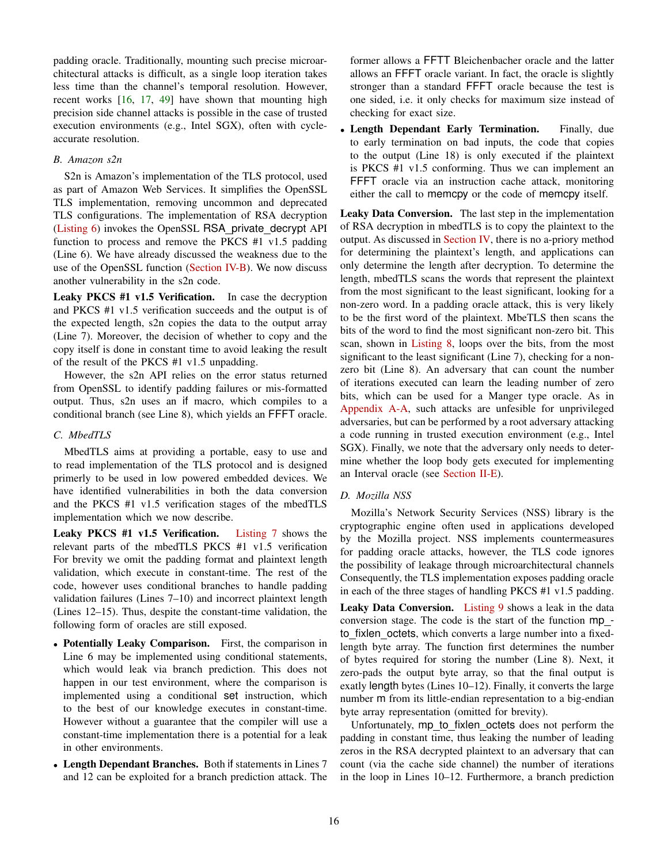padding oracle. Traditionally, mounting such precise microarchitectural attacks is difficult, as a single loop iteration takes less time than the channel's temporal resolution. However, recent works [\[16,](#page-13-38) [17,](#page-13-39) [49\]](#page-14-25) have shown that mounting high precision side channel attacks is possible in the case of trusted execution environments (e.g., Intel SGX), often with cycleaccurate resolution.

# <span id="page-15-0"></span>*B. Amazon s2n*

S2n is Amazon's implementation of the TLS protocol, used as part of Amazon Web Services. It simplifies the OpenSSL TLS implementation, removing uncommon and deprecated TLS configurations. The implementation of RSA decryption [\(Listing 6\)](#page-16-0) invokes the OpenSSL RSA private decrypt API function to process and remove the PKCS #1 v1.5 padding (Line 6). We have already discussed the weakness due to the use of the OpenSSL function [\(Section IV-B\)](#page-5-0). We now discuss another vulnerability in the s2n code.

Leaky PKCS #1 v1.5 Verification. In case the decryption and PKCS #1 v1.5 verification succeeds and the output is of the expected length, s2n copies the data to the output array (Line 7). Moreover, the decision of whether to copy and the copy itself is done in constant time to avoid leaking the result of the result of the PKCS #1 v1.5 unpadding.

However, the s2n API relies on the error status returned from OpenSSL to identify padding failures or mis-formatted output. Thus, s2n uses an if macro, which compiles to a conditional branch (see Line 8), which yields an FFFT oracle.

# <span id="page-15-1"></span>*C. MbedTLS*

MbedTLS aims at providing a portable, easy to use and to read implementation of the TLS protocol and is designed primerly to be used in low powered embedded devices. We have identified vulnerabilities in both the data conversion and the PKCS #1 v1.5 verification stages of the mbedTLS implementation which we now describe.

Leaky PKCS #1 v1.5 Verification. [Listing 7](#page-16-1) shows the relevant parts of the mbedTLS PKCS #1 v1.5 verification For brevity we omit the padding format and plaintext length validation, which execute in constant-time. The rest of the code, however uses conditional branches to handle padding validation failures (Lines 7–10) and incorrect plaintext length (Lines 12–15). Thus, despite the constant-time validation, the following form of oracles are still exposed.

- Potentially Leaky Comparison. First, the comparison in Line 6 may be implemented using conditional statements, which would leak via branch prediction. This does not happen in our test environment, where the comparison is implemented using a conditional set instruction, which to the best of our knowledge executes in constant-time. However without a guarantee that the compiler will use a constant-time implementation there is a potential for a leak in other environments.
- Length Dependant Branches. Both if statements in Lines 7 and 12 can be exploited for a branch prediction attack. The

former allows a FFTT Bleichenbacher oracle and the latter allows an FFFT oracle variant. In fact, the oracle is slightly stronger than a standard FFFT oracle because the test is one sided, i.e. it only checks for maximum size instead of checking for exact size.

• Length Dependant Early Termination. Finally, due to early termination on bad inputs, the code that copies to the output (Line 18) is only executed if the plaintext is PKCS #1 v1.5 conforming. Thus we can implement an FFFT oracle via an instruction cache attack, monitoring either the call to memcpy or the code of memcpy itself.

Leaky Data Conversion. The last step in the implementation of RSA decryption in mbedTLS is to copy the plaintext to the output. As discussed in [Section IV,](#page-4-2) there is no a-priory method for determining the plaintext's length, and applications can only determine the length after decryption. To determine the length, mbedTLS scans the words that represent the plaintext from the most significant to the least significant, looking for a non-zero word. In a padding oracle attack, this is very likely to be the first word of the plaintext. MbeTLS then scans the bits of the word to find the most significant non-zero bit. This scan, shown in [Listing 8,](#page-16-2) loops over the bits, from the most significant to the least significant (Line 7), checking for a nonzero bit (Line 8). An adversary that can count the number of iterations executed can learn the leading number of zero bits, which can be used for a Manger type oracle. As in [Appendix A-A,](#page-14-5) such attacks are unfesible for unprivileged adversaries, but can be performed by a root adversary attacking a code running in trusted execution environment (e.g., Intel SGX). Finally, we note that the adversary only needs to determine whether the loop body gets executed for implementing an Interval oracle (see [Section II-E\)](#page-2-1).

# *D. Mozilla NSS*

Mozilla's Network Security Services (NSS) library is the cryptographic engine often used in applications developed by the Mozilla project. NSS implements countermeasures for padding oracle attacks, however, the TLS code ignores the possibility of leakage through microarchitectural channels Consequently, the TLS implementation exposes padding oracle in each of the three stages of handling PKCS #1 v1.5 padding.

Leaky Data Conversion. [Listing 9](#page-16-3) shows a leak in the data conversion stage. The code is the start of the function mp to\_fixlen\_octets, which converts a large number into a fixedlength byte array. The function first determines the number of bytes required for storing the number (Line 8). Next, it zero-pads the output byte array, so that the final output is exatly length bytes (Lines 10–12). Finally, it converts the large number m from its little-endian representation to a big-endian byte array representation (omitted for brevity).

Unfortunately, mp to fixlen octets does not perform the padding in constant time, thus leaking the number of leading zeros in the RSA decrypted plaintext to an adversary that can count (via the cache side channel) the number of iterations in the loop in Lines 10–12. Furthermore, a branch prediction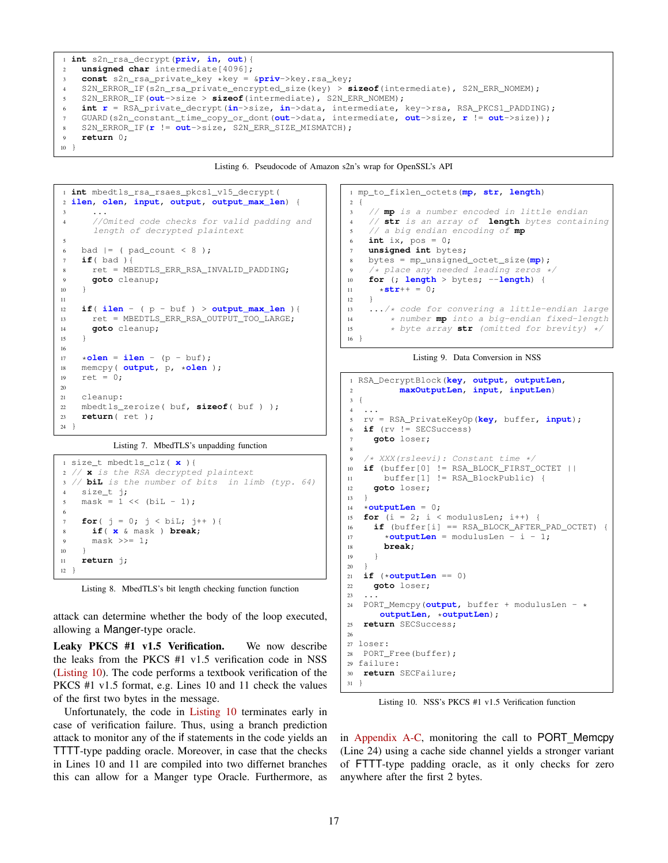```
1 int s2n_rsa_decrypt(priv, in, out){
2 unsigned char intermediate[4096];
3 const s2n_rsa_private_key *key = &priv->key.rsa_key;
   4 S2N_ERROR_IF(s2n_rsa_private_encrypted_size(key) > sizeof(intermediate), S2N_ERR_NOMEM);
5 S2N_ERROR_IF(out->size > sizeof(intermediate), S2N_ERR_NOMEM);
   int r = RSA_private_decrypt(in->size, in->data, intermediate, key->rsa, RSA_PKCS1_PADDING);
7 GUARD(s2n_constant_time_copy_or_dont(out->data, intermediate, out->size, r != out->size));
8 S2N_ERROR_IF(r != out->size, S2N_ERR_SIZE_MISMATCH);
9 return 0;
```
}

Listing 6. Pseudocode of Amazon s2n's wrap for OpenSSL's API

```
1 int mbedtls_rsa_rsaes_pkcs1_v15_decrypt(
2 ilen, olen, input, output, output_max_len) {
 \overline{\mathbf{3}} ...
4 //Omited code checks for valid padding and
       length of decrypted plaintext
 5
6 bad | = (pad_count < 8);
7 if( bad ){
8 ret = MBEDTLS_ERR_RSA_INVALID_PADDING;
9 goto cleanup;
10 }
11
12 if( ilen - ( p - buf ) > output max len ){
13 ret = MBEDTLS_ERR_RSA_OUTPUT_TOO_LARGE;
14 goto cleanup;
15 }
16
17 \timesolen = ilen - (p - buf);<br>18 memcpy( output, p, \starolen
    18 memcpy( output, p, *olen );
19 ret = 0;
2021 cleanup:
22 mbedtls_zeroize( buf, sizeof( buf ) );
23 return( ret );
24 }
```
Listing 7. MbedTLS's unpadding function

```
1 size_t mbedtls_clz( x ){
2 // x is the RSA decrypted plaintext
3 // biL is the number of bits in limb (typ. 64)
4 size_t j;
5 mask = 1 \ll (biL - 1);
6
7 for( j = 0; j < biL; j++ ){
8 if( x & mask ) break;
9 mask >>= 1;
10 }
11 return j;
12 }
```
Listing 8. MbedTLS's bit length checking function function

attack can determine whether the body of the loop executed, allowing a Manger-type oracle.

Leaky PKCS #1 v1.5 Verification. We now describe the leaks from the PKCS #1 v1.5 verification code in NSS [\(Listing 10\)](#page-16-4). The code performs a textbook verification of the PKCS #1 v1.5 format, e.g. Lines 10 and 11 check the values of the first two bytes in the message.

Unfortunately, the code in [Listing 10](#page-16-4) terminates early in case of verification failure. Thus, using a branch prediction attack to monitor any of the if statements in the code yields an TTTT-type padding oracle. Moreover, in case that the checks in Lines 10 and 11 are compiled into two differnet branches this can allow for a Manger type Oracle. Furthermore, as

```
1 mp_to_fixlen_octets(mp, str, length)
2 {
3 // mp is a number encoded in little endian
4 // str is an array of length bytes containing
5 // a big endian encoding of mp
6 int ix, pos = 0;
7 unsigned int bytes;
8 bytes = mp_unsigned_octet_size(mp);
9 /* place any needed leading zeros */
10 for (; length > bytes; --length) {
11 \star str++ = 0;<br>12 }
     \rightarrow13 \ldots /* code for convering a little-endian large<br>14 * number mp into a big-endian fixed-length
14 * number mp into a big-endian fixed-length<br>15 * byte array str (omitted for brevity) \star/
          15 * byte array str (omitted for brevity) */
16 }
```
Listing 9. Data Conversion in NSS

```
1 RSA_DecryptBlock(key, output, outputLen,
2 maxOutputLen, input, inputLen)
3 {
4 ...
5 rv = RSA_PrivateKeyOp(key, buffer, input);
6 if (rv != SECSuccess)
7 goto loser;
8
9 /* XXX(rsleevi): Constant time */
10 if (buffer[0] != RSA_BLOCK_FIRST_OCTET ||
11 buffer[1] != RSA_BlockPublic) {
12 goto loser;
13 }
14 *outputLen = 0;
15 for (i = 2; i < modulusLen; i++) {
16 if (buffer[i] == RSA_BLOCK_AFTER_PAD_OCTET) {
17 *outputLen = modulusLen - i - 1;<br>18 break;
       18 break;
19 }
20 }
21 if (*outputLen == 0)<br>22 goto loser:
    goto loser;
23 ...
24 PORT_Memcpy(output, buffer + modulusLen - *
      outputLen, *outputLen);
25 return SECSuccess;
26
27 loser:
28 PORT_Free(buffer);
29 failure:
30 return SECFailure;
31 }
```
Listing 10. NSS's PKCS #1 v1.5 Verification function

in [Appendix A-C,](#page-15-1) monitoring the call to PORT Memcpy (Line 24) using a cache side channel yields a stronger variant of FTTT-type padding oracle, as it only checks for zero anywhere after the first 2 bytes.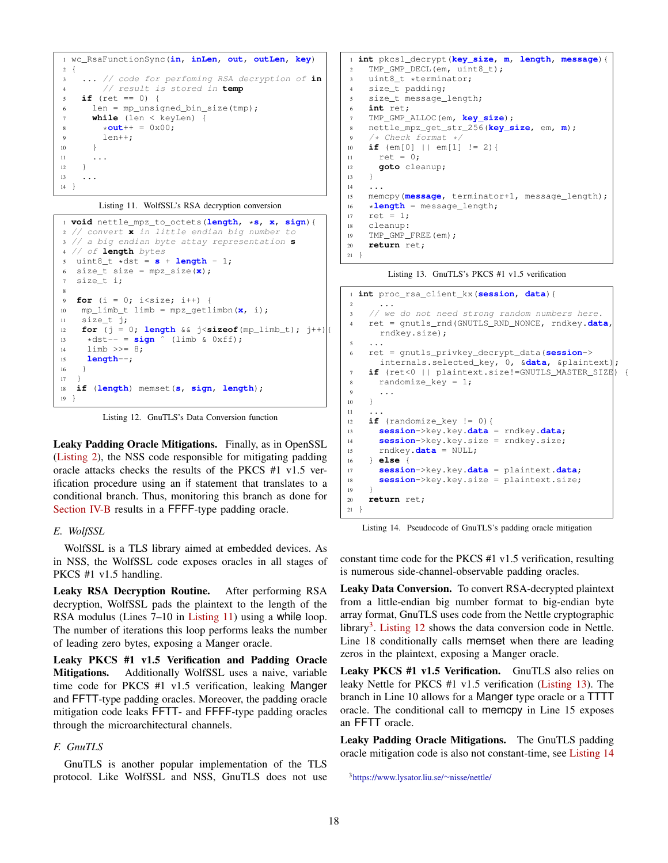```
1 wc_RsaFunctionSync(in, inLen, out, outLen, key)
2 {
3 ... // code for perfoming RSA decryption of in
4 // result is stored in temp
5 if (ret == 0) {
6 len = mp_unsigned_bin_size(tmp);
7 while (len < keyLen) {
8 *out++ = 0x00;<br>9 len++;
        len++;10 }
11 ...
12 \Big\}13 \cdot \cdot \cdot14 }
```
Listing 11. WolfSSL's RSA decryption conversion

```
1 void nettle_mpz_to_octets(length, *s, x, sign){
2 // convert x in little endian big number to
3 // a big endian byte attay representation s
4 // of length bytes
5 uint8_t *dst = s + length - 1;
6 size_t size = mpz_size(x);
7 size_t i;
8
9 for (i = 0; i<size; i++) {
10 mp_limb_t limb = mpz_getlimbn(x, i);
11 size_t j;
12 for (j = 0; length \&& j <sizeof (mp_limb_t); j++)|{
13 \stardst-- = sign \hat{ } (limb & 0xff);
14 limb >>= 8;
15 length--;
16 }
17\,18 if (length) memset(s, sign, length);
19 }
```
Listing 12. GnuTLS's Data Conversion function

Leaky Padding Oracle Mitigations. Finally, as in OpenSSL [\(Listing 2\)](#page-6-0), the NSS code responsible for mitigating padding oracle attacks checks the results of the PKCS #1 v1.5 verification procedure using an if statement that translates to a conditional branch. Thus, monitoring this branch as done for [Section IV-B](#page-5-0) results in a FFFF-type padding oracle.

# *E. WolfSSL*

WolfSSL is a TLS library aimed at embedded devices. As in NSS, the WolfSSL code exposes oracles in all stages of PKCS #1 v1.5 handling.

Leaky RSA Decryption Routine. After performing RSA decryption, WolfSSL pads the plaintext to the length of the RSA modulus (Lines 7–10 in [Listing 11\)](#page-17-0) using a while loop. The number of iterations this loop performs leaks the number of leading zero bytes, exposing a Manger oracle.

Leaky PKCS #1 v1.5 Verification and Padding Oracle Mitigations. Additionally WolfSSL uses a naive, variable time code for PKCS #1 v1.5 verification, leaking Manger and FFTT-type padding oracles. Moreover, the padding oracle mitigation code leaks FFTT- and FFFF-type padding oracles through the microarchitectural channels.

# *F. GnuTLS*

GnuTLS is another popular implementation of the TLS protocol. Like WolfSSL and NSS, GnuTLS does not use

```
1 int pkcs1_decrypt(key_size, m, length, message){
2 TMP_GMP_DECL(em, uint8_t);
3 uint8_t *terminator;
4 size_t padding;
5 size t message length:
6 int ret;
7 TMP_GMP_ALLOC(em, key_size);
8 nettle_mpz_get_str_256(key_size, em, m);
9 /* Check format */
10 if (em[0] || em[1] != 2){
11 ret = 0;12 goto cleanup;
13 }
1415 memcpy(message, terminator+1, message_length);
16 \starlength = message_length;<br>17 ret = 1:
    ret = 1:
18 cleanup:
19 TMP_GMP_FREE(em);
20 return ret;
21 }
```
Listing 13. GnuTLS's PKCS #1 v1.5 verification

```
1 int proc_rsa_client_kx(session, data){
2 . . .
3 // we do not need strong random numbers here.
4 ret = gnutls_rnd(GNUTLS_RND_NONCE, rndkey.data,
      rndkey.size);
5 \cdot \cdot \cdot6 ret = gnutls_privkey_decrypt_data(session->
      internals.selected_key, 0, &data, &plaintext);
7 if (ret<0 || plaintext.size!=GNUTLS_MASTER_SIZE) {
8 randomize_key = 1;
9 ...
10 \qquad }
11 ...
12 if (randomize_key != 0){
13 session->key.key.data = rndkey.data;
14 session->key.key.size = rndkey.size;
15 rndkey.data = NULL;
16 } else {
17 session->key.key.data = plaintext.data;
18 session->key.key.size = plaintext.size;
19 \quad \frac{1}{2}20 return ret;
21 }
```
Listing 14. Pseudocode of GnuTLS's padding oracle mitigation

constant time code for the PKCS #1 v1.5 verification, resulting is numerous side-channel-observable padding oracles.

Leaky Data Conversion. To convert RSA-decrypted plaintext from a little-endian big number format to big-endian byte array format, GnuTLS uses code from the Nettle cryptographic library<sup>[3](#page-17-1)</sup>. [Listing 12](#page-17-2) shows the data conversion code in Nettle. Line 18 conditionally calls memset when there are leading zeros in the plaintext, exposing a Manger oracle.

Leaky PKCS #1 v1.5 Verification. GnuTLS also relies on leaky Nettle for PKCS #1 v1.5 verification [\(Listing 13\)](#page-17-3). The branch in Line 10 allows for a Manger type oracle or a TTTT oracle. The conditional call to memcpy in Line 15 exposes an FFTT oracle.

Leaky Padding Oracle Mitigations. The GnuTLS padding oracle mitigation code is also not constant-time, see [Listing 14](#page-17-4)

```
3https://www.lysator.liu.se/∼nisse/nettle/
```